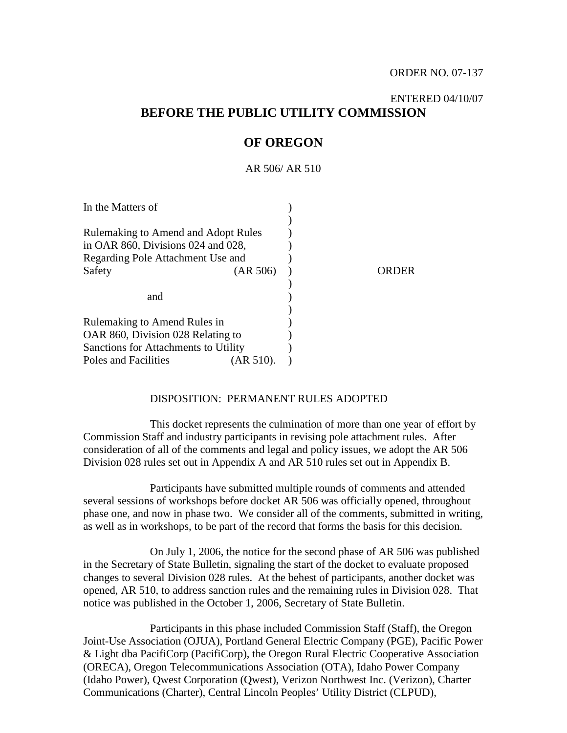# ENTERED 04/10/07 **BEFORE THE PUBLIC UTILITY COMMISSION**

# **OF OREGON**

AR 506/ AR 510

| In the Matters of                     |          |     |
|---------------------------------------|----------|-----|
|                                       |          |     |
| Rulemaking to Amend and Adopt Rules   |          |     |
| in OAR $860$ , Divisions 024 and 028, |          |     |
| Regarding Pole Attachment Use and     |          |     |
| Safety                                | (AR 506) | DER |
|                                       |          |     |
| and                                   |          |     |
|                                       |          |     |
| Rulemaking to Amend Rules in          |          |     |
| OAR 860, Division 028 Relating to     |          |     |
| Sanctions for Attachments to Utility  |          |     |
| Poles and Facilities                  | AR 510). |     |

#### DISPOSITION: PERMANENT RULES ADOPTED

This docket represents the culmination of more than one year of effort by Commission Staff and industry participants in revising pole attachment rules. After consideration of all of the comments and legal and policy issues, we adopt the AR 506 Division 028 rules set out in Appendix A and AR 510 rules set out in Appendix B.

Participants have submitted multiple rounds of comments and attended several sessions of workshops before docket AR 506 was officially opened, throughout phase one, and now in phase two. We consider all of the comments, submitted in writing, as well as in workshops, to be part of the record that forms the basis for this decision.

On July 1, 2006, the notice for the second phase of AR 506 was published in the Secretary of State Bulletin, signaling the start of the docket to evaluate proposed changes to several Division 028 rules. At the behest of participants, another docket was opened, AR 510, to address sanction rules and the remaining rules in Division 028. That notice was published in the October 1, 2006, Secretary of State Bulletin.

Participants in this phase included Commission Staff (Staff), the Oregon Joint-Use Association (OJUA), Portland General Electric Company (PGE), Pacific Power & Light dba PacifiCorp (PacifiCorp), the Oregon Rural Electric Cooperative Association (ORECA), Oregon Telecommunications Association (OTA), Idaho Power Company (Idaho Power), Qwest Corporation (Qwest), Verizon Northwest Inc. (Verizon), Charter Communications (Charter), Central Lincoln Peoples' Utility District (CLPUD),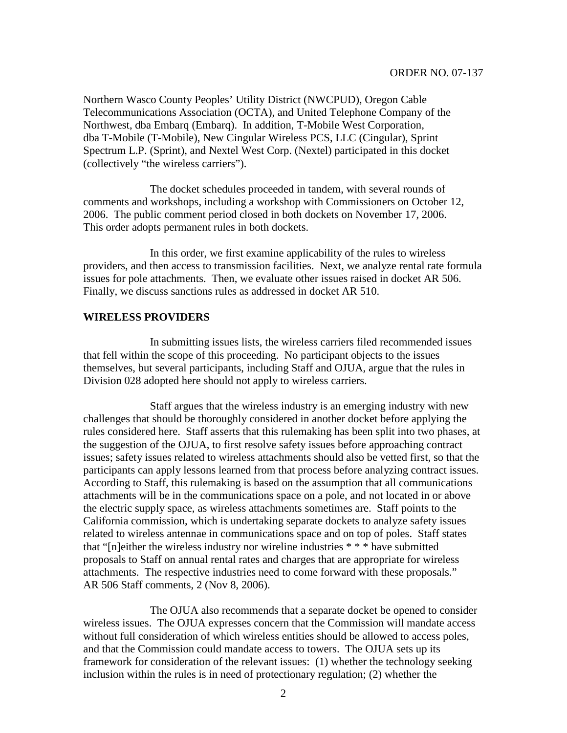Northern Wasco County Peoples' Utility District (NWCPUD), Oregon Cable Telecommunications Association (OCTA), and United Telephone Company of the Northwest, dba Embarq (Embarq). In addition, T-Mobile West Corporation, dba T-Mobile (T-Mobile), New Cingular Wireless PCS, LLC (Cingular), Sprint Spectrum L.P. (Sprint), and Nextel West Corp. (Nextel) participated in this docket (collectively "the wireless carriers").

The docket schedules proceeded in tandem, with several rounds of comments and workshops, including a workshop with Commissioners on October 12, 2006. The public comment period closed in both dockets on November 17, 2006. This order adopts permanent rules in both dockets.

In this order, we first examine applicability of the rules to wireless providers, and then access to transmission facilities. Next, we analyze rental rate formula issues for pole attachments. Then, we evaluate other issues raised in docket AR 506. Finally, we discuss sanctions rules as addressed in docket AR 510.

#### **WIRELESS PROVIDERS**

In submitting issues lists, the wireless carriers filed recommended issues that fell within the scope of this proceeding. No participant objects to the issues themselves, but several participants, including Staff and OJUA, argue that the rules in Division 028 adopted here should not apply to wireless carriers.

Staff argues that the wireless industry is an emerging industry with new challenges that should be thoroughly considered in another docket before applying the rules considered here. Staff asserts that this rulemaking has been split into two phases, at the suggestion of the OJUA, to first resolve safety issues before approaching contract issues; safety issues related to wireless attachments should also be vetted first, so that the participants can apply lessons learned from that process before analyzing contract issues. According to Staff, this rulemaking is based on the assumption that all communications attachments will be in the communications space on a pole, and not located in or above the electric supply space, as wireless attachments sometimes are. Staff points to the California commission, which is undertaking separate dockets to analyze safety issues related to wireless antennae in communications space and on top of poles. Staff states that "[n]either the wireless industry nor wireline industries \* \* \* have submitted proposals to Staff on annual rental rates and charges that are appropriate for wireless attachments. The respective industries need to come forward with these proposals." AR 506 Staff comments, 2 (Nov 8, 2006).

The OJUA also recommends that a separate docket be opened to consider wireless issues. The OJUA expresses concern that the Commission will mandate access without full consideration of which wireless entities should be allowed to access poles, and that the Commission could mandate access to towers. The OJUA sets up its framework for consideration of the relevant issues: (1) whether the technology seeking inclusion within the rules is in need of protectionary regulation; (2) whether the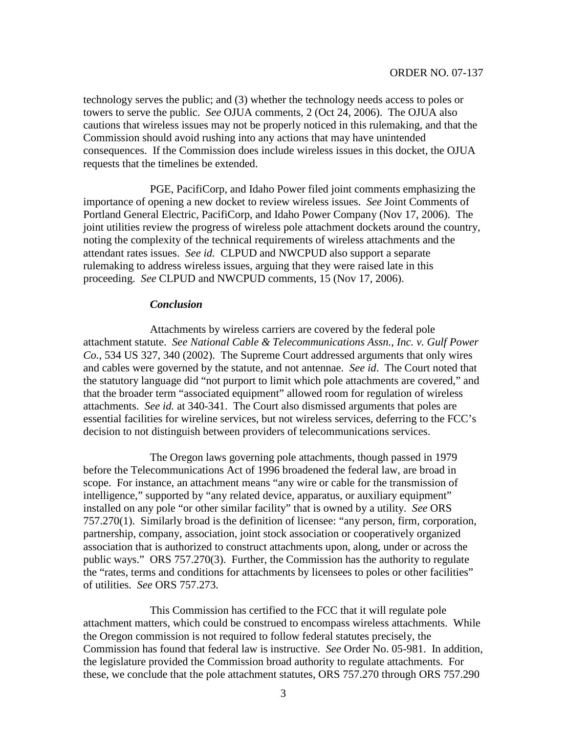technology serves the public; and (3) whether the technology needs access to poles or towers to serve the public. *See* OJUA comments, 2 (Oct 24, 2006). The OJUA also cautions that wireless issues may not be properly noticed in this rulemaking, and that the Commission should avoid rushing into any actions that may have unintended consequences. If the Commission does include wireless issues in this docket, the OJUA requests that the timelines be extended.

PGE, PacifiCorp, and Idaho Power filed joint comments emphasizing the importance of opening a new docket to review wireless issues. *See* Joint Comments of Portland General Electric, PacifiCorp, and Idaho Power Company (Nov 17, 2006). The joint utilities review the progress of wireless pole attachment dockets around the country, noting the complexity of the technical requirements of wireless attachments and the attendant rates issues. *See id.* CLPUD and NWCPUD also support a separate rulemaking to address wireless issues, arguing that they were raised late in this proceeding. *See* CLPUD and NWCPUD comments, 15 (Nov 17, 2006).

#### *Conclusion*

Attachments by wireless carriers are covered by the federal pole attachment statute. *See National Cable & Telecommunications Assn., Inc. v. Gulf Power Co.*, 534 US 327, 340 (2002). The Supreme Court addressed arguments that only wires and cables were governed by the statute, and not antennae. *See id*. The Court noted that the statutory language did "not purport to limit which pole attachments are covered," and that the broader term "associated equipment" allowed room for regulation of wireless attachments. *See id.* at 340-341. The Court also dismissed arguments that poles are essential facilities for wireline services, but not wireless services, deferring to the FCC's decision to not distinguish between providers of telecommunications services.

The Oregon laws governing pole attachments, though passed in 1979 before the Telecommunications Act of 1996 broadened the federal law, are broad in scope. For instance, an attachment means "any wire or cable for the transmission of intelligence," supported by "any related device, apparatus, or auxiliary equipment" installed on any pole "or other similar facility" that is owned by a utility. *See* ORS 757.270(1). Similarly broad is the definition of licensee: "any person, firm, corporation, partnership, company, association, joint stock association or cooperatively organized association that is authorized to construct attachments upon, along, under or across the public ways." ORS 757.270(3). Further, the Commission has the authority to regulate the "rates, terms and conditions for attachments by licensees to poles or other facilities" of utilities. *See* ORS 757.273.

This Commission has certified to the FCC that it will regulate pole attachment matters, which could be construed to encompass wireless attachments. While the Oregon commission is not required to follow federal statutes precisely, the Commission has found that federal law is instructive. *See* Order No. 05-981. In addition, the legislature provided the Commission broad authority to regulate attachments. For these, we conclude that the pole attachment statutes, ORS 757.270 through ORS 757.290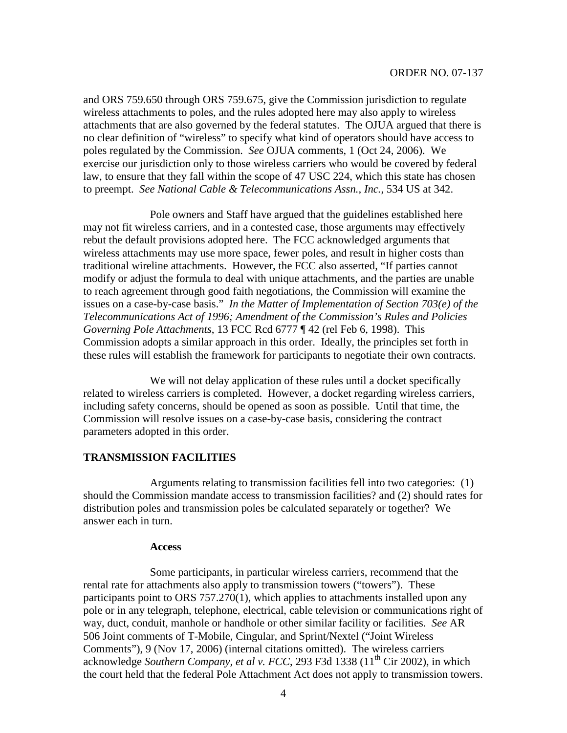and ORS 759.650 through ORS 759.675, give the Commission jurisdiction to regulate wireless attachments to poles, and the rules adopted here may also apply to wireless attachments that are also governed by the federal statutes. The OJUA argued that there is no clear definition of "wireless" to specify what kind of operators should have access to poles regulated by the Commission. *See* OJUA comments, 1 (Oct 24, 2006). We exercise our jurisdiction only to those wireless carriers who would be covered by federal law, to ensure that they fall within the scope of 47 USC 224, which this state has chosen to preempt. *See National Cable & Telecommunications Assn., Inc.*, 534 US at 342.

Pole owners and Staff have argued that the guidelines established here may not fit wireless carriers, and in a contested case, those arguments may effectively rebut the default provisions adopted here. The FCC acknowledged arguments that wireless attachments may use more space, fewer poles, and result in higher costs than traditional wireline attachments. However, the FCC also asserted, "If parties cannot modify or adjust the formula to deal with unique attachments, and the parties are unable to reach agreement through good faith negotiations, the Commission will examine the issues on a case-by-case basis." *In the Matter of Implementation of Section 703(e) of the Telecommunications Act of 1996; Amendment of the Commission's Rules and Policies Governing Pole Attachments*, 13 FCC Rcd 6777 ¶ 42 (rel Feb 6, 1998). This Commission adopts a similar approach in this order. Ideally, the principles set forth in these rules will establish the framework for participants to negotiate their own contracts.

We will not delay application of these rules until a docket specifically related to wireless carriers is completed. However, a docket regarding wireless carriers, including safety concerns, should be opened as soon as possible. Until that time, the Commission will resolve issues on a case-by-case basis, considering the contract parameters adopted in this order.

## **TRANSMISSION FACILITIES**

Arguments relating to transmission facilities fell into two categories: (1) should the Commission mandate access to transmission facilities? and (2) should rates for distribution poles and transmission poles be calculated separately or together? We answer each in turn.

#### **Access**

Some participants, in particular wireless carriers, recommend that the rental rate for attachments also apply to transmission towers ("towers"). These participants point to ORS 757.270(1), which applies to attachments installed upon any pole or in any telegraph, telephone, electrical, cable television or communications right of way, duct, conduit, manhole or handhole or other similar facility or facilities. *See* AR 506 Joint comments of T-Mobile, Cingular, and Sprint/Nextel ("Joint Wireless Comments"), 9 (Nov 17, 2006) (internal citations omitted). The wireless carriers acknowledge *Southern Company, et al v. FCC*, 293 F3d 1338 (11th Cir 2002), in which the court held that the federal Pole Attachment Act does not apply to transmission towers.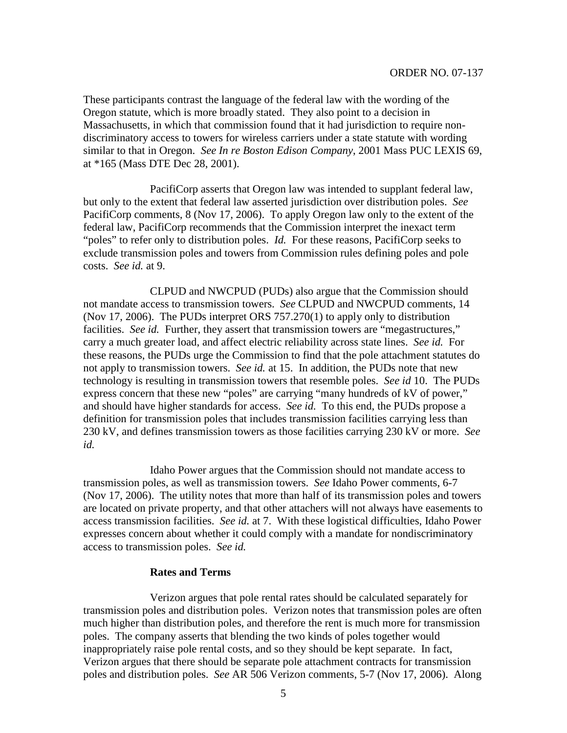These participants contrast the language of the federal law with the wording of the Oregon statute, which is more broadly stated. They also point to a decision in Massachusetts, in which that commission found that it had jurisdiction to require nondiscriminatory access to towers for wireless carriers under a state statute with wording similar to that in Oregon. *See In re Boston Edison Company*, 2001 Mass PUC LEXIS 69, at \*165 (Mass DTE Dec 28, 2001).

PacifiCorp asserts that Oregon law was intended to supplant federal law, but only to the extent that federal law asserted jurisdiction over distribution poles. *See* PacifiCorp comments, 8 (Nov 17, 2006). To apply Oregon law only to the extent of the federal law, PacifiCorp recommends that the Commission interpret the inexact term "poles" to refer only to distribution poles. *Id.* For these reasons, PacifiCorp seeks to exclude transmission poles and towers from Commission rules defining poles and pole costs. *See id.* at 9.

CLPUD and NWCPUD (PUDs) also argue that the Commission should not mandate access to transmission towers. *See* CLPUD and NWCPUD comments, 14 (Nov 17, 2006). The PUDs interpret ORS 757.270(1) to apply only to distribution facilities. *See id.* Further, they assert that transmission towers are "megastructures," carry a much greater load, and affect electric reliability across state lines. *See id.* For these reasons, the PUDs urge the Commission to find that the pole attachment statutes do not apply to transmission towers. *See id.* at 15. In addition, the PUDs note that new technology is resulting in transmission towers that resemble poles. *See id* 10. The PUDs express concern that these new "poles" are carrying "many hundreds of kV of power," and should have higher standards for access. *See id.* To this end, the PUDs propose a definition for transmission poles that includes transmission facilities carrying less than 230 kV, and defines transmission towers as those facilities carrying 230 kV or more. *See id.*

Idaho Power argues that the Commission should not mandate access to transmission poles, as well as transmission towers. *See* Idaho Power comments, 6-7 (Nov 17, 2006). The utility notes that more than half of its transmission poles and towers are located on private property, and that other attachers will not always have easements to access transmission facilities. *See id.* at 7. With these logistical difficulties, Idaho Power expresses concern about whether it could comply with a mandate for nondiscriminatory access to transmission poles. *See id.*

#### **Rates and Terms**

Verizon argues that pole rental rates should be calculated separately for transmission poles and distribution poles. Verizon notes that transmission poles are often much higher than distribution poles, and therefore the rent is much more for transmission poles. The company asserts that blending the two kinds of poles together would inappropriately raise pole rental costs, and so they should be kept separate. In fact, Verizon argues that there should be separate pole attachment contracts for transmission poles and distribution poles. *See* AR 506 Verizon comments, 5-7 (Nov 17, 2006). Along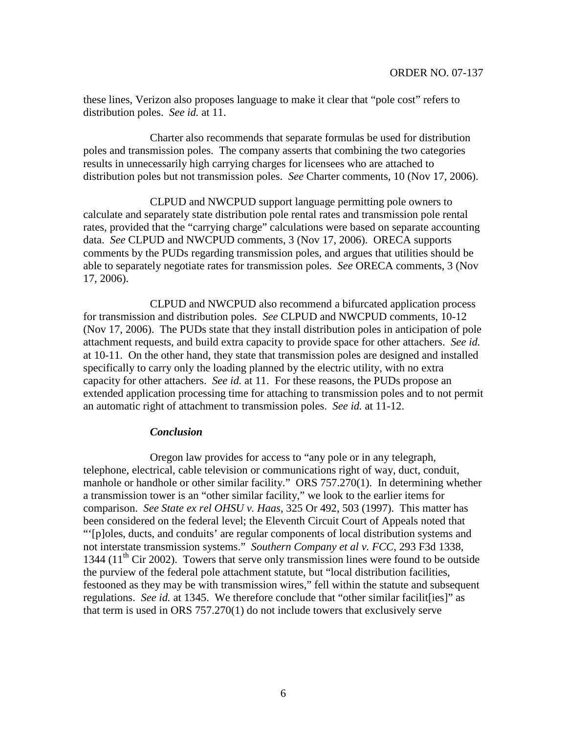these lines, Verizon also proposes language to make it clear that "pole cost" refers to distribution poles. *See id.* at 11.

Charter also recommends that separate formulas be used for distribution poles and transmission poles. The company asserts that combining the two categories results in unnecessarily high carrying charges for licensees who are attached to distribution poles but not transmission poles. *See* Charter comments, 10 (Nov 17, 2006).

CLPUD and NWCPUD support language permitting pole owners to calculate and separately state distribution pole rental rates and transmission pole rental rates, provided that the "carrying charge" calculations were based on separate accounting data. *See* CLPUD and NWCPUD comments, 3 (Nov 17, 2006). ORECA supports comments by the PUDs regarding transmission poles, and argues that utilities should be able to separately negotiate rates for transmission poles. *See* ORECA comments, 3 (Nov 17, 2006).

CLPUD and NWCPUD also recommend a bifurcated application process for transmission and distribution poles. *See* CLPUD and NWCPUD comments, 10-12 (Nov 17, 2006). The PUDs state that they install distribution poles in anticipation of pole attachment requests, and build extra capacity to provide space for other attachers. *See id.* at 10-11. On the other hand, they state that transmission poles are designed and installed specifically to carry only the loading planned by the electric utility, with no extra capacity for other attachers. *See id.* at 11. For these reasons, the PUDs propose an extended application processing time for attaching to transmission poles and to not permit an automatic right of attachment to transmission poles. *See id.* at 11-12.

#### *Conclusion*

Oregon law provides for access to "any pole or in any telegraph, telephone, electrical, cable television or communications right of way, duct, conduit, manhole or handhole or other similar facility." ORS 757.270(1). In determining whether a transmission tower is an "other similar facility," we look to the earlier items for comparison. *See State ex rel OHSU v. Haas*, 325 Or 492, 503 (1997). This matter has been considered on the federal level; the Eleventh Circuit Court of Appeals noted that "'[p]oles, ducts, and conduits' are regular components of local distribution systems and not interstate transmission systems." *Southern Company et al v. FCC*, 293 F3d 1338, 1344 ( $11<sup>th</sup>$  Cir 2002). Towers that serve only transmission lines were found to be outside the purview of the federal pole attachment statute, but "local distribution facilities, festooned as they may be with transmission wires," fell within the statute and subsequent regulations. *See id.* at 1345. We therefore conclude that "other similar facilities]" as that term is used in ORS 757.270(1) do not include towers that exclusively serve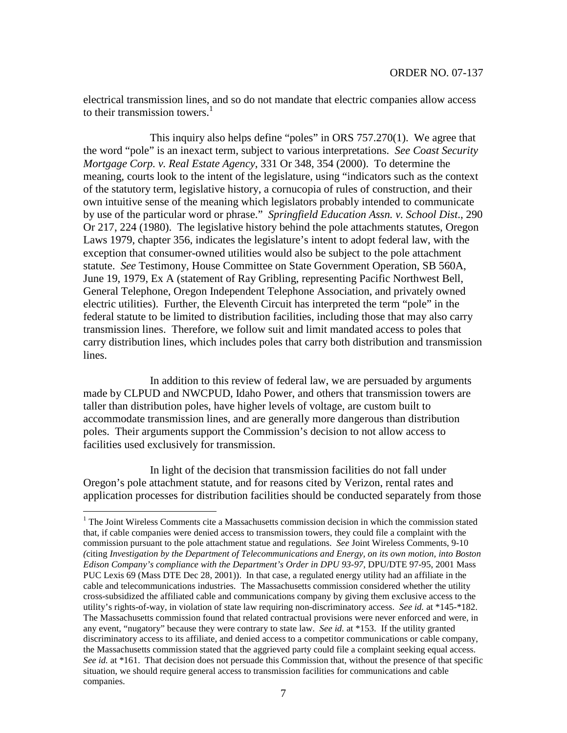electrical transmission lines, and so do not mandate that electric companies allow access to their transmission towers.<sup>1</sup>

This inquiry also helps define "poles" in ORS 757.270(1). We agree that the word "pole" is an inexact term, subject to various interpretations. *See Coast Security Mortgage Corp. v. Real Estate Agency*, 331 Or 348, 354 (2000). To determine the meaning, courts look to the intent of the legislature, using "indicators such as the context of the statutory term, legislative history, a cornucopia of rules of construction, and their own intuitive sense of the meaning which legislators probably intended to communicate by use of the particular word or phrase." *Springfield Education Assn. v. School Dist*., 290 Or 217, 224 (1980). The legislative history behind the pole attachments statutes, Oregon Laws 1979, chapter 356, indicates the legislature's intent to adopt federal law, with the exception that consumer-owned utilities would also be subject to the pole attachment statute. *See* Testimony, House Committee on State Government Operation, SB 560A, June 19, 1979, Ex A (statement of Ray Gribling, representing Pacific Northwest Bell, General Telephone, Oregon Independent Telephone Association, and privately owned electric utilities). Further, the Eleventh Circuit has interpreted the term "pole" in the federal statute to be limited to distribution facilities, including those that may also carry transmission lines. Therefore, we follow suit and limit mandated access to poles that carry distribution lines, which includes poles that carry both distribution and transmission lines.

In addition to this review of federal law, we are persuaded by arguments made by CLPUD and NWCPUD, Idaho Power, and others that transmission towers are taller than distribution poles, have higher levels of voltage, are custom built to accommodate transmission lines, and are generally more dangerous than distribution poles. Their arguments support the Commission's decision to not allow access to facilities used exclusively for transmission.

In light of the decision that transmission facilities do not fall under Oregon's pole attachment statute, and for reasons cited by Verizon, rental rates and application processes for distribution facilities should be conducted separately from those

<sup>&</sup>lt;sup>1</sup> The Joint Wireless Comments cite a Massachusetts commission decision in which the commission stated that, if cable companies were denied access to transmission towers, they could file a complaint with the commission pursuant to the pole attachment statue and regulations. *See* Joint Wireless Comments, 9-10 *(*citing *Investigation by the Department of Telecommunications and Energy, on its own motion, into Boston Edison Company's compliance with the Department's Order in DPU 93-97*, DPU/DTE 97-95, 2001 Mass PUC Lexis 69 (Mass DTE Dec 28, 2001)). In that case, a regulated energy utility had an affiliate in the cable and telecommunications industries. The Massachusetts commission considered whether the utility cross-subsidized the affiliated cable and communications company by giving them exclusive access to the utility's rights-of-way, in violation of state law requiring non-discriminatory access. *See id.* at \*145-\*182. The Massachusetts commission found that related contractual provisions were never enforced and were, in any event, "nugatory" because they were contrary to state law. *See id.* at \*153. If the utility granted discriminatory access to its affiliate, and denied access to a competitor communications or cable company, the Massachusetts commission stated that the aggrieved party could file a complaint seeking equal access. *See id.* at \*161. That decision does not persuade this Commission that, without the presence of that specific situation, we should require general access to transmission facilities for communications and cable companies.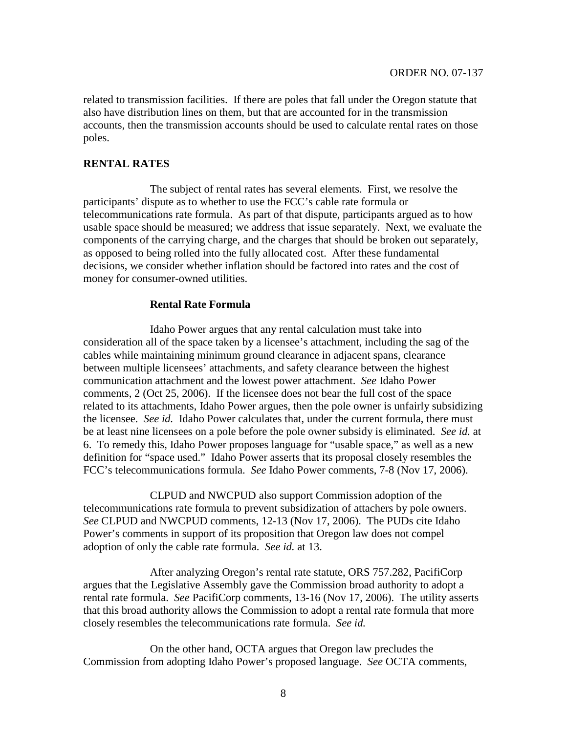related to transmission facilities. If there are poles that fall under the Oregon statute that also have distribution lines on them, but that are accounted for in the transmission accounts, then the transmission accounts should be used to calculate rental rates on those poles.

#### **RENTAL RATES**

The subject of rental rates has several elements. First, we resolve the participants' dispute as to whether to use the FCC's cable rate formula or telecommunications rate formula. As part of that dispute, participants argued as to how usable space should be measured; we address that issue separately. Next, we evaluate the components of the carrying charge, and the charges that should be broken out separately, as opposed to being rolled into the fully allocated cost. After these fundamental decisions, we consider whether inflation should be factored into rates and the cost of money for consumer-owned utilities.

#### **Rental Rate Formula**

Idaho Power argues that any rental calculation must take into consideration all of the space taken by a licensee's attachment, including the sag of the cables while maintaining minimum ground clearance in adjacent spans, clearance between multiple licensees' attachments, and safety clearance between the highest communication attachment and the lowest power attachment. *See* Idaho Power comments, 2 (Oct 25, 2006). If the licensee does not bear the full cost of the space related to its attachments, Idaho Power argues, then the pole owner is unfairly subsidizing the licensee. *See id.* Idaho Power calculates that, under the current formula, there must be at least nine licensees on a pole before the pole owner subsidy is eliminated. *See id.* at 6. To remedy this, Idaho Power proposes language for "usable space," as well as a new definition for "space used." Idaho Power asserts that its proposal closely resembles the FCC's telecommunications formula. *See* Idaho Power comments, 7-8 (Nov 17, 2006).

CLPUD and NWCPUD also support Commission adoption of the telecommunications rate formula to prevent subsidization of attachers by pole owners. *See* CLPUD and NWCPUD comments, 12-13 (Nov 17, 2006). The PUDs cite Idaho Power's comments in support of its proposition that Oregon law does not compel adoption of only the cable rate formula. *See id.* at 13.

After analyzing Oregon's rental rate statute, ORS 757.282, PacifiCorp argues that the Legislative Assembly gave the Commission broad authority to adopt a rental rate formula. *See* PacifiCorp comments, 13-16 (Nov 17, 2006). The utility asserts that this broad authority allows the Commission to adopt a rental rate formula that more closely resembles the telecommunications rate formula. *See id.*

On the other hand, OCTA argues that Oregon law precludes the Commission from adopting Idaho Power's proposed language. *See* OCTA comments,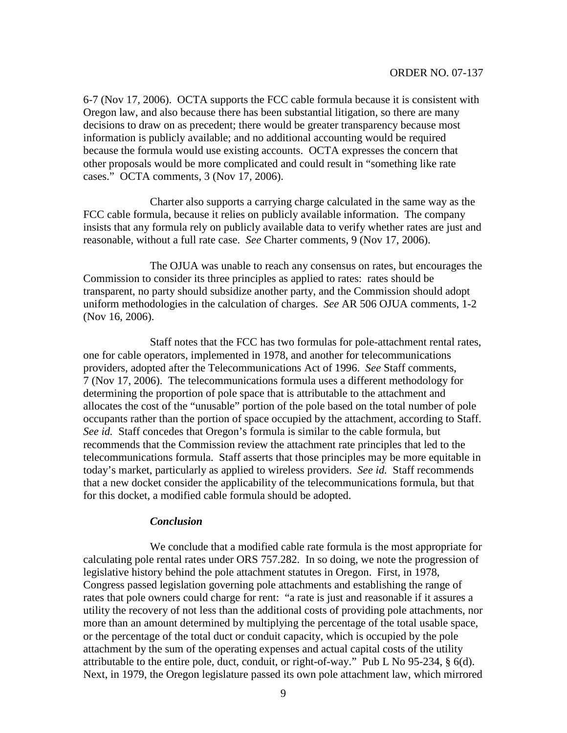6-7 (Nov 17, 2006). OCTA supports the FCC cable formula because it is consistent with Oregon law, and also because there has been substantial litigation, so there are many decisions to draw on as precedent; there would be greater transparency because most information is publicly available; and no additional accounting would be required because the formula would use existing accounts. OCTA expresses the concern that other proposals would be more complicated and could result in "something like rate cases." OCTA comments, 3 (Nov 17, 2006).

Charter also supports a carrying charge calculated in the same way as the FCC cable formula, because it relies on publicly available information. The company insists that any formula rely on publicly available data to verify whether rates are just and reasonable, without a full rate case. *See* Charter comments, 9 (Nov 17, 2006).

The OJUA was unable to reach any consensus on rates, but encourages the Commission to consider its three principles as applied to rates: rates should be transparent, no party should subsidize another party, and the Commission should adopt uniform methodologies in the calculation of charges. *See* AR 506 OJUA comments, 1-2 (Nov 16, 2006).

Staff notes that the FCC has two formulas for pole-attachment rental rates, one for cable operators, implemented in 1978, and another for telecommunications providers, adopted after the Telecommunications Act of 1996. *See* Staff comments, 7 (Nov 17, 2006). The telecommunications formula uses a different methodology for determining the proportion of pole space that is attributable to the attachment and allocates the cost of the "unusable" portion of the pole based on the total number of pole occupants rather than the portion of space occupied by the attachment, according to Staff. *See id.* Staff concedes that Oregon's formula is similar to the cable formula, but recommends that the Commission review the attachment rate principles that led to the telecommunications formula. Staff asserts that those principles may be more equitable in today's market, particularly as applied to wireless providers. *See id.* Staff recommends that a new docket consider the applicability of the telecommunications formula, but that for this docket, a modified cable formula should be adopted.

#### *Conclusion*

We conclude that a modified cable rate formula is the most appropriate for calculating pole rental rates under ORS 757.282. In so doing, we note the progression of legislative history behind the pole attachment statutes in Oregon. First, in 1978, Congress passed legislation governing pole attachments and establishing the range of rates that pole owners could charge for rent: "a rate is just and reasonable if it assures a utility the recovery of not less than the additional costs of providing pole attachments, nor more than an amount determined by multiplying the percentage of the total usable space, or the percentage of the total duct or conduit capacity, which is occupied by the pole attachment by the sum of the operating expenses and actual capital costs of the utility attributable to the entire pole, duct, conduit, or right-of-way." Pub L No 95-234, § 6(d). Next, in 1979, the Oregon legislature passed its own pole attachment law, which mirrored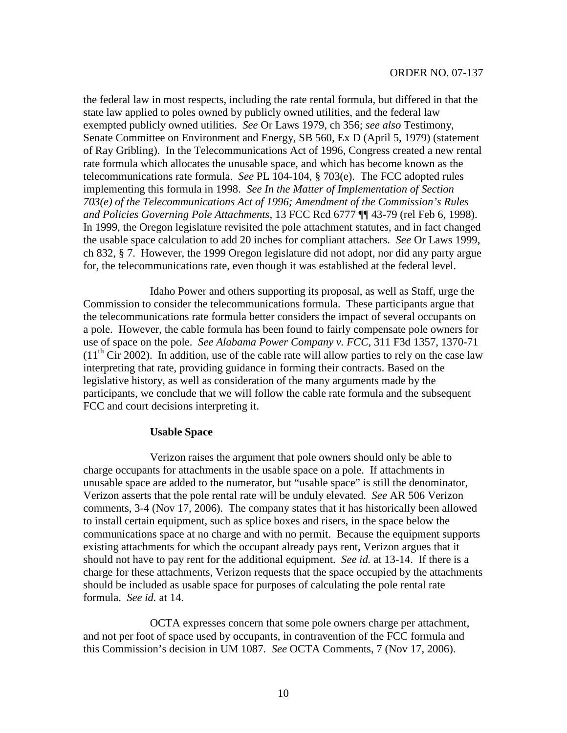the federal law in most respects, including the rate rental formula, but differed in that the state law applied to poles owned by publicly owned utilities, and the federal law exempted publicly owned utilities. *See* Or Laws 1979, ch 356; *see also* Testimony, Senate Committee on Environment and Energy, SB 560, Ex D (April 5, 1979) (statement of Ray Gribling). In the Telecommunications Act of 1996, Congress created a new rental rate formula which allocates the unusable space, and which has become known as the telecommunications rate formula. *See* PL 104-104, § 703(e). The FCC adopted rules implementing this formula in 1998. *See In the Matter of Implementation of Section 703(e) of the Telecommunications Act of 1996; Amendment of the Commission's Rules and Policies Governing Pole Attachments*, 13 FCC Rcd 6777 ¶¶ 43-79 (rel Feb 6, 1998). In 1999, the Oregon legislature revisited the pole attachment statutes, and in fact changed the usable space calculation to add 20 inches for compliant attachers. *See* Or Laws 1999, ch 832, § 7. However, the 1999 Oregon legislature did not adopt, nor did any party argue for, the telecommunications rate, even though it was established at the federal level.

Idaho Power and others supporting its proposal, as well as Staff, urge the Commission to consider the telecommunications formula. These participants argue that the telecommunications rate formula better considers the impact of several occupants on a pole. However, the cable formula has been found to fairly compensate pole owners for use of space on the pole. *See Alabama Power Company v. FCC*, 311 F3d 1357, 1370-71  $(11<sup>th</sup> Cir 2002)$ . In addition, use of the cable rate will allow parties to rely on the case law interpreting that rate, providing guidance in forming their contracts. Based on the legislative history, as well as consideration of the many arguments made by the participants, we conclude that we will follow the cable rate formula and the subsequent FCC and court decisions interpreting it.

#### **Usable Space**

Verizon raises the argument that pole owners should only be able to charge occupants for attachments in the usable space on a pole. If attachments in unusable space are added to the numerator, but "usable space" is still the denominator, Verizon asserts that the pole rental rate will be unduly elevated. *See* AR 506 Verizon comments, 3-4 (Nov 17, 2006). The company states that it has historically been allowed to install certain equipment, such as splice boxes and risers, in the space below the communications space at no charge and with no permit. Because the equipment supports existing attachments for which the occupant already pays rent, Verizon argues that it should not have to pay rent for the additional equipment. *See id.* at 13-14. If there is a charge for these attachments, Verizon requests that the space occupied by the attachments should be included as usable space for purposes of calculating the pole rental rate formula. *See id.* at 14.

OCTA expresses concern that some pole owners charge per attachment, and not per foot of space used by occupants, in contravention of the FCC formula and this Commission's decision in UM 1087. *See* OCTA Comments, 7 (Nov 17, 2006).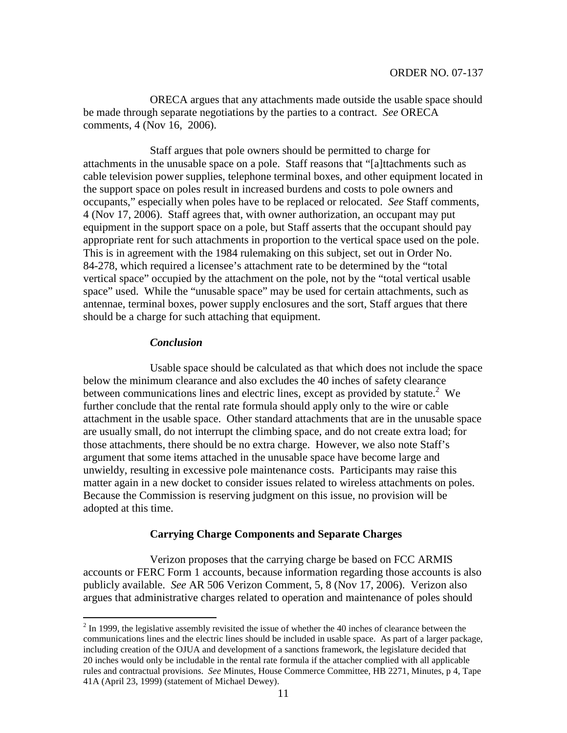ORECA argues that any attachments made outside the usable space should be made through separate negotiations by the parties to a contract. *See* ORECA comments, 4 (Nov 16, 2006).

Staff argues that pole owners should be permitted to charge for attachments in the unusable space on a pole. Staff reasons that "[a]ttachments such as cable television power supplies, telephone terminal boxes, and other equipment located in the support space on poles result in increased burdens and costs to pole owners and occupants," especially when poles have to be replaced or relocated. *See* Staff comments, 4 (Nov 17, 2006). Staff agrees that, with owner authorization, an occupant may put equipment in the support space on a pole, but Staff asserts that the occupant should pay appropriate rent for such attachments in proportion to the vertical space used on the pole. This is in agreement with the 1984 rulemaking on this subject, set out in Order No. 84-278, which required a licensee's attachment rate to be determined by the "total vertical space" occupied by the attachment on the pole, not by the "total vertical usable space" used. While the "unusable space" may be used for certain attachments, such as antennae, terminal boxes, power supply enclosures and the sort, Staff argues that there should be a charge for such attaching that equipment.

## *Conclusion*

Usable space should be calculated as that which does not include the space below the minimum clearance and also excludes the 40 inches of safety clearance between communications lines and electric lines, except as provided by statute.<sup>2</sup> We further conclude that the rental rate formula should apply only to the wire or cable attachment in the usable space. Other standard attachments that are in the unusable space are usually small, do not interrupt the climbing space, and do not create extra load; for those attachments, there should be no extra charge. However, we also note Staff's argument that some items attached in the unusable space have become large and unwieldy, resulting in excessive pole maintenance costs. Participants may raise this matter again in a new docket to consider issues related to wireless attachments on poles. Because the Commission is reserving judgment on this issue, no provision will be adopted at this time.

# **Carrying Charge Components and Separate Charges**

Verizon proposes that the carrying charge be based on FCC ARMIS accounts or FERC Form 1 accounts, because information regarding those accounts is also publicly available. *See* AR 506 Verizon Comment, 5, 8 (Nov 17, 2006). Verizon also argues that administrative charges related to operation and maintenance of poles should

 $^{2}$  In 1999, the legislative assembly revisited the issue of whether the 40 inches of clearance between the communications lines and the electric lines should be included in usable space. As part of a larger package, including creation of the OJUA and development of a sanctions framework, the legislature decided that 20 inches would only be includable in the rental rate formula if the attacher complied with all applicable rules and contractual provisions. *See* Minutes, House Commerce Committee, HB 2271, Minutes, p 4, Tape 41A (April 23, 1999) (statement of Michael Dewey).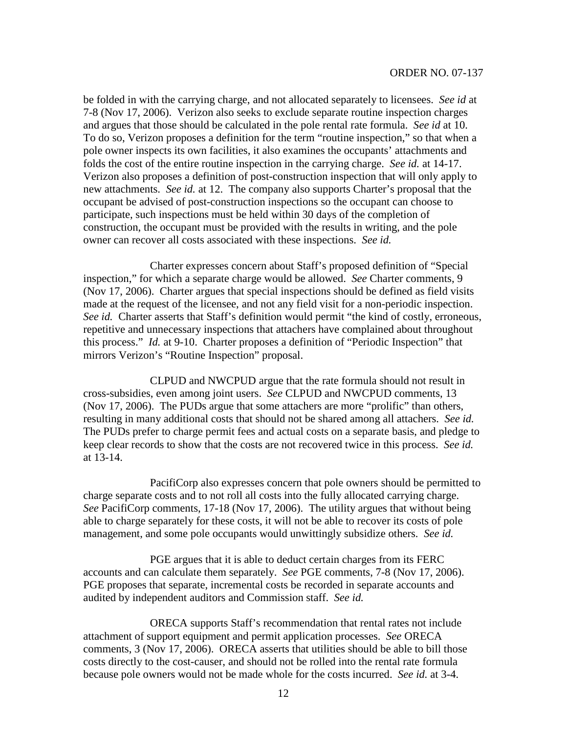be folded in with the carrying charge, and not allocated separately to licensees. *See id* at 7-8 (Nov 17, 2006). Verizon also seeks to exclude separate routine inspection charges and argues that those should be calculated in the pole rental rate formula. *See id* at 10. To do so, Verizon proposes a definition for the term "routine inspection," so that when a pole owner inspects its own facilities, it also examines the occupants' attachments and folds the cost of the entire routine inspection in the carrying charge. *See id.* at 14-17. Verizon also proposes a definition of post-construction inspection that will only apply to new attachments. *See id.* at 12. The company also supports Charter's proposal that the occupant be advised of post-construction inspections so the occupant can choose to participate, such inspections must be held within 30 days of the completion of construction, the occupant must be provided with the results in writing, and the pole owner can recover all costs associated with these inspections. *See id.*

Charter expresses concern about Staff's proposed definition of "Special inspection," for which a separate charge would be allowed. *See* Charter comments, 9 (Nov 17, 2006). Charter argues that special inspections should be defined as field visits made at the request of the licensee, and not any field visit for a non-periodic inspection. *See id.* Charter asserts that Staff's definition would permit "the kind of costly, erroneous, repetitive and unnecessary inspections that attachers have complained about throughout this process." *Id.* at 9-10. Charter proposes a definition of "Periodic Inspection" that mirrors Verizon's "Routine Inspection" proposal.

CLPUD and NWCPUD argue that the rate formula should not result in cross-subsidies, even among joint users. *See* CLPUD and NWCPUD comments, 13 (Nov 17, 2006). The PUDs argue that some attachers are more "prolific" than others, resulting in many additional costs that should not be shared among all attachers. *See id.* The PUDs prefer to charge permit fees and actual costs on a separate basis, and pledge to keep clear records to show that the costs are not recovered twice in this process. *See id.* at 13-14.

PacifiCorp also expresses concern that pole owners should be permitted to charge separate costs and to not roll all costs into the fully allocated carrying charge. *See* PacifiCorp comments, 17-18 (Nov 17, 2006). The utility argues that without being able to charge separately for these costs, it will not be able to recover its costs of pole management, and some pole occupants would unwittingly subsidize others. *See id.*

PGE argues that it is able to deduct certain charges from its FERC accounts and can calculate them separately. *See* PGE comments, 7-8 (Nov 17, 2006). PGE proposes that separate, incremental costs be recorded in separate accounts and audited by independent auditors and Commission staff. *See id.*

ORECA supports Staff's recommendation that rental rates not include attachment of support equipment and permit application processes. *See* ORECA comments, 3 (Nov 17, 2006). ORECA asserts that utilities should be able to bill those costs directly to the cost-causer, and should not be rolled into the rental rate formula because pole owners would not be made whole for the costs incurred. *See id.* at 3-4.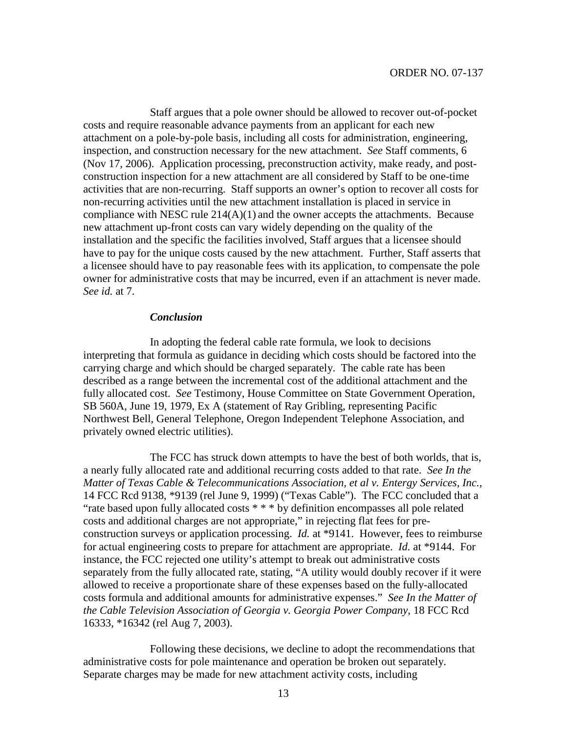Staff argues that a pole owner should be allowed to recover out-of-pocket costs and require reasonable advance payments from an applicant for each new attachment on a pole-by-pole basis, including all costs for administration, engineering, inspection, and construction necessary for the new attachment. *See* Staff comments, 6 (Nov 17, 2006). Application processing, preconstruction activity, make ready, and postconstruction inspection for a new attachment are all considered by Staff to be one-time activities that are non-recurring. Staff supports an owner's option to recover all costs for non-recurring activities until the new attachment installation is placed in service in compliance with NESC rule  $214(A)(1)$  and the owner accepts the attachments. Because new attachment up-front costs can vary widely depending on the quality of the installation and the specific the facilities involved, Staff argues that a licensee should have to pay for the unique costs caused by the new attachment. Further, Staff asserts that a licensee should have to pay reasonable fees with its application, to compensate the pole owner for administrative costs that may be incurred, even if an attachment is never made. *See id.* at 7.

#### *Conclusion*

In adopting the federal cable rate formula, we look to decisions interpreting that formula as guidance in deciding which costs should be factored into the carrying charge and which should be charged separately. The cable rate has been described as a range between the incremental cost of the additional attachment and the fully allocated cost. *See* Testimony, House Committee on State Government Operation, SB 560A, June 19, 1979, Ex A (statement of Ray Gribling, representing Pacific Northwest Bell, General Telephone, Oregon Independent Telephone Association, and privately owned electric utilities).

The FCC has struck down attempts to have the best of both worlds, that is, a nearly fully allocated rate and additional recurring costs added to that rate. *See In the Matter of Texas Cable & Telecommunications Association, et al v. Entergy Services, Inc.*, 14 FCC Rcd 9138, \*9139 (rel June 9, 1999) ("Texas Cable"). The FCC concluded that a "rate based upon fully allocated costs \* \* \* by definition encompasses all pole related costs and additional charges are not appropriate," in rejecting flat fees for preconstruction surveys or application processing. *Id.* at \*9141. However, fees to reimburse for actual engineering costs to prepare for attachment are appropriate. *Id.* at \*9144. For instance, the FCC rejected one utility's attempt to break out administrative costs separately from the fully allocated rate, stating, "A utility would doubly recover if it were allowed to receive a proportionate share of these expenses based on the fully-allocated costs formula and additional amounts for administrative expenses." *See In the Matter of the Cable Television Association of Georgia v. Georgia Power Company*, 18 FCC Rcd 16333, \*16342 (rel Aug 7, 2003).

Following these decisions, we decline to adopt the recommendations that administrative costs for pole maintenance and operation be broken out separately. Separate charges may be made for new attachment activity costs, including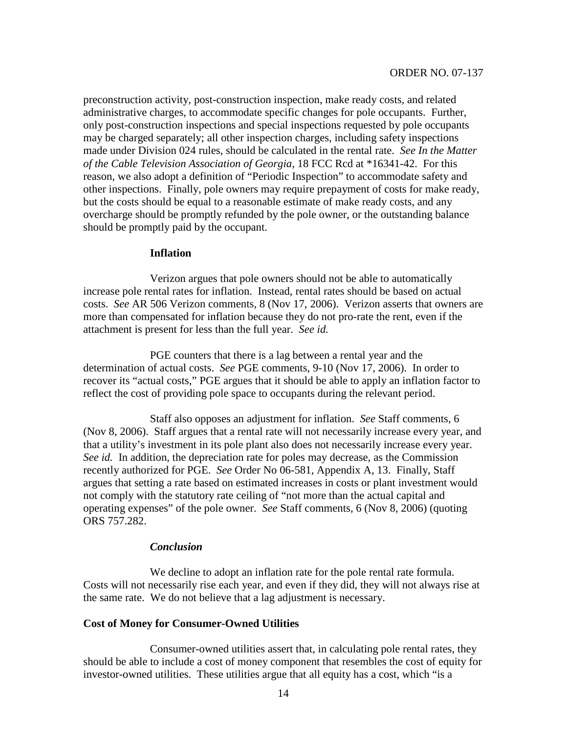preconstruction activity, post-construction inspection, make ready costs, and related administrative charges, to accommodate specific changes for pole occupants. Further, only post-construction inspections and special inspections requested by pole occupants may be charged separately; all other inspection charges, including safety inspections made under Division 024 rules, should be calculated in the rental rate. *See In the Matter of the Cable Television Association of Georgia*, 18 FCC Rcd at \*16341-42. For this reason, we also adopt a definition of "Periodic Inspection" to accommodate safety and other inspections. Finally, pole owners may require prepayment of costs for make ready, but the costs should be equal to a reasonable estimate of make ready costs, and any overcharge should be promptly refunded by the pole owner, or the outstanding balance should be promptly paid by the occupant.

### **Inflation**

Verizon argues that pole owners should not be able to automatically increase pole rental rates for inflation. Instead, rental rates should be based on actual costs. *See* AR 506 Verizon comments, 8 (Nov 17, 2006). Verizon asserts that owners are more than compensated for inflation because they do not pro-rate the rent, even if the attachment is present for less than the full year. *See id.*

PGE counters that there is a lag between a rental year and the determination of actual costs. *See* PGE comments, 9-10 (Nov 17, 2006). In order to recover its "actual costs," PGE argues that it should be able to apply an inflation factor to reflect the cost of providing pole space to occupants during the relevant period.

Staff also opposes an adjustment for inflation. *See* Staff comments, 6 (Nov 8, 2006). Staff argues that a rental rate will not necessarily increase every year, and that a utility's investment in its pole plant also does not necessarily increase every year. *See id.* In addition, the depreciation rate for poles may decrease, as the Commission recently authorized for PGE. *See* Order No 06-581, Appendix A, 13. Finally, Staff argues that setting a rate based on estimated increases in costs or plant investment would not comply with the statutory rate ceiling of "not more than the actual capital and operating expenses" of the pole owner. *See* Staff comments, 6 (Nov 8, 2006) (quoting ORS 757.282.

#### *Conclusion*

We decline to adopt an inflation rate for the pole rental rate formula. Costs will not necessarily rise each year, and even if they did, they will not always rise at the same rate. We do not believe that a lag adjustment is necessary.

## **Cost of Money for Consumer-Owned Utilities**

Consumer-owned utilities assert that, in calculating pole rental rates, they should be able to include a cost of money component that resembles the cost of equity for investor-owned utilities. These utilities argue that all equity has a cost, which "is a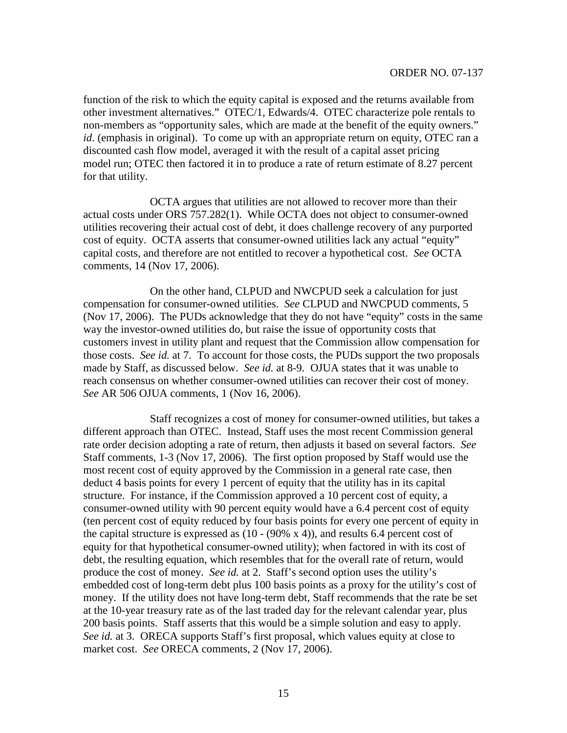function of the risk to which the equity capital is exposed and the returns available from other investment alternatives." OTEC/1, Edwards/4. OTEC characterize pole rentals to non-members as "opportunity sales, which are made at the benefit of the equity owners." *id.* (emphasis in original). To come up with an appropriate return on equity, OTEC ran a discounted cash flow model, averaged it with the result of a capital asset pricing model run; OTEC then factored it in to produce a rate of return estimate of 8.27 percent for that utility.

OCTA argues that utilities are not allowed to recover more than their actual costs under ORS 757.282(1). While OCTA does not object to consumer-owned utilities recovering their actual cost of debt, it does challenge recovery of any purported cost of equity. OCTA asserts that consumer-owned utilities lack any actual "equity" capital costs, and therefore are not entitled to recover a hypothetical cost. *See* OCTA comments, 14 (Nov 17, 2006).

On the other hand, CLPUD and NWCPUD seek a calculation for just compensation for consumer-owned utilities. *See* CLPUD and NWCPUD comments, 5 (Nov 17, 2006). The PUDs acknowledge that they do not have "equity" costs in the same way the investor-owned utilities do, but raise the issue of opportunity costs that customers invest in utility plant and request that the Commission allow compensation for those costs. *See id.* at 7. To account for those costs, the PUDs support the two proposals made by Staff, as discussed below. *See id.* at 8-9. OJUA states that it was unable to reach consensus on whether consumer-owned utilities can recover their cost of money. *See* AR 506 OJUA comments, 1 (Nov 16, 2006).

Staff recognizes a cost of money for consumer-owned utilities, but takes a different approach than OTEC. Instead, Staff uses the most recent Commission general rate order decision adopting a rate of return, then adjusts it based on several factors. *See* Staff comments, 1-3 (Nov 17, 2006). The first option proposed by Staff would use the most recent cost of equity approved by the Commission in a general rate case, then deduct 4 basis points for every 1 percent of equity that the utility has in its capital structure. For instance, if the Commission approved a 10 percent cost of equity, a consumer-owned utility with 90 percent equity would have a 6.4 percent cost of equity (ten percent cost of equity reduced by four basis points for every one percent of equity in the capital structure is expressed as  $(10 - (90\% \text{ x } 4))$ , and results 6.4 percent cost of equity for that hypothetical consumer-owned utility); when factored in with its cost of debt, the resulting equation, which resembles that for the overall rate of return, would produce the cost of money. *See id.* at 2. Staff's second option uses the utility's embedded cost of long-term debt plus 100 basis points as a proxy for the utility's cost of money. If the utility does not have long-term debt, Staff recommends that the rate be set at the 10-year treasury rate as of the last traded day for the relevant calendar year, plus 200 basis points. Staff asserts that this would be a simple solution and easy to apply. *See id.* at 3. ORECA supports Staff's first proposal, which values equity at close to market cost. *See* ORECA comments, 2 (Nov 17, 2006).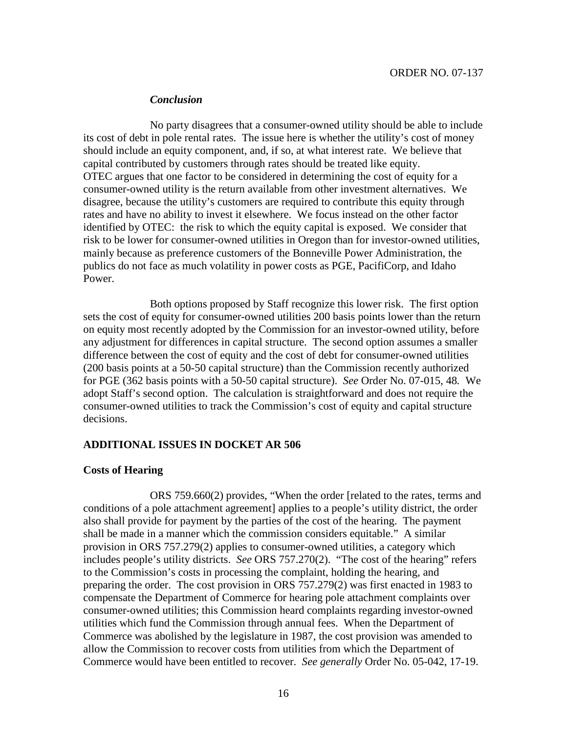#### *Conclusion*

No party disagrees that a consumer-owned utility should be able to include its cost of debt in pole rental rates. The issue here is whether the utility's cost of money should include an equity component, and, if so, at what interest rate. We believe that capital contributed by customers through rates should be treated like equity. OTEC argues that one factor to be considered in determining the cost of equity for a consumer-owned utility is the return available from other investment alternatives. We disagree, because the utility's customers are required to contribute this equity through rates and have no ability to invest it elsewhere. We focus instead on the other factor identified by OTEC: the risk to which the equity capital is exposed. We consider that risk to be lower for consumer-owned utilities in Oregon than for investor-owned utilities, mainly because as preference customers of the Bonneville Power Administration, the publics do not face as much volatility in power costs as PGE, PacifiCorp, and Idaho Power.

Both options proposed by Staff recognize this lower risk. The first option sets the cost of equity for consumer-owned utilities 200 basis points lower than the return on equity most recently adopted by the Commission for an investor-owned utility, before any adjustment for differences in capital structure. The second option assumes a smaller difference between the cost of equity and the cost of debt for consumer-owned utilities (200 basis points at a 50-50 capital structure) than the Commission recently authorized for PGE (362 basis points with a 50-50 capital structure). *See* Order No. 07-015, 48*.* We adopt Staff's second option. The calculation is straightforward and does not require the consumer-owned utilities to track the Commission's cost of equity and capital structure decisions.

## **ADDITIONAL ISSUES IN DOCKET AR 506**

## **Costs of Hearing**

ORS 759.660(2) provides, "When the order [related to the rates, terms and conditions of a pole attachment agreement] applies to a people's utility district, the order also shall provide for payment by the parties of the cost of the hearing. The payment shall be made in a manner which the commission considers equitable." A similar provision in ORS 757.279(2) applies to consumer-owned utilities, a category which includes people's utility districts. *See* ORS 757.270(2). "The cost of the hearing" refers to the Commission's costs in processing the complaint, holding the hearing, and preparing the order. The cost provision in ORS 757.279(2) was first enacted in 1983 to compensate the Department of Commerce for hearing pole attachment complaints over consumer-owned utilities; this Commission heard complaints regarding investor-owned utilities which fund the Commission through annual fees. When the Department of Commerce was abolished by the legislature in 1987, the cost provision was amended to allow the Commission to recover costs from utilities from which the Department of Commerce would have been entitled to recover. *See generally* Order No. 05-042, 17-19.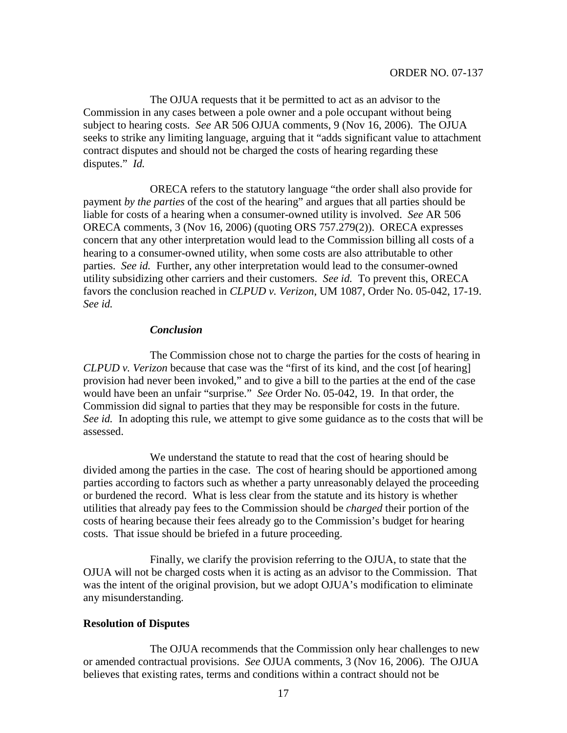The OJUA requests that it be permitted to act as an advisor to the Commission in any cases between a pole owner and a pole occupant without being subject to hearing costs. *See* AR 506 OJUA comments, 9 (Nov 16, 2006). The OJUA seeks to strike any limiting language, arguing that it "adds significant value to attachment contract disputes and should not be charged the costs of hearing regarding these disputes." *Id.*

ORECA refers to the statutory language "the order shall also provide for payment *by the parties* of the cost of the hearing" and argues that all parties should be liable for costs of a hearing when a consumer-owned utility is involved. *See* AR 506 ORECA comments, 3 (Nov 16, 2006) (quoting ORS 757.279(2)). ORECA expresses concern that any other interpretation would lead to the Commission billing all costs of a hearing to a consumer-owned utility, when some costs are also attributable to other parties. *See id.* Further, any other interpretation would lead to the consumer-owned utility subsidizing other carriers and their customers. *See id.* To prevent this, ORECA favors the conclusion reached in *CLPUD v. Verizon*, UM 1087, Order No. 05-042, 17-19. *See id.*

### *Conclusion*

The Commission chose not to charge the parties for the costs of hearing in *CLPUD v. Verizon* because that case was the "first of its kind, and the cost [of hearing] provision had never been invoked," and to give a bill to the parties at the end of the case would have been an unfair "surprise." *See* Order No. 05-042, 19. In that order, the Commission did signal to parties that they may be responsible for costs in the future. *See id.* In adopting this rule, we attempt to give some guidance as to the costs that will be assessed.

We understand the statute to read that the cost of hearing should be divided among the parties in the case. The cost of hearing should be apportioned among parties according to factors such as whether a party unreasonably delayed the proceeding or burdened the record. What is less clear from the statute and its history is whether utilities that already pay fees to the Commission should be *charged* their portion of the costs of hearing because their fees already go to the Commission's budget for hearing costs. That issue should be briefed in a future proceeding.

Finally, we clarify the provision referring to the OJUA, to state that the OJUA will not be charged costs when it is acting as an advisor to the Commission. That was the intent of the original provision, but we adopt OJUA's modification to eliminate any misunderstanding.

#### **Resolution of Disputes**

The OJUA recommends that the Commission only hear challenges to new or amended contractual provisions. *See* OJUA comments, 3 (Nov 16, 2006). The OJUA believes that existing rates, terms and conditions within a contract should not be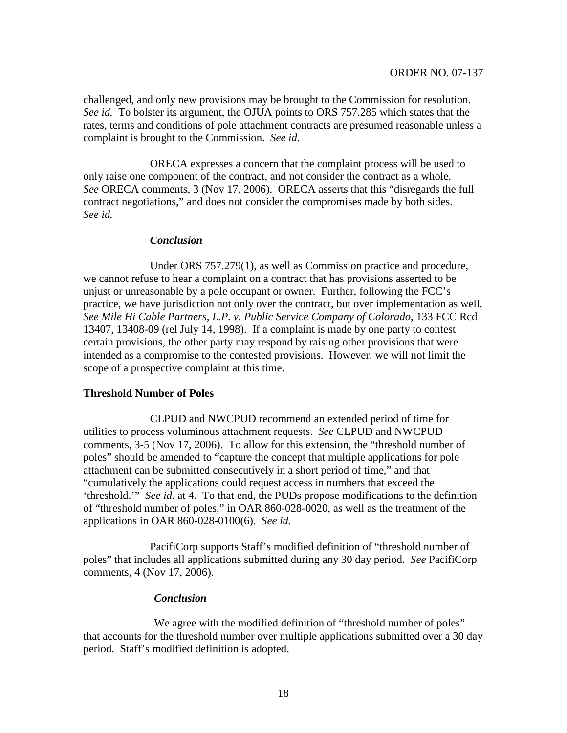challenged, and only new provisions may be brought to the Commission for resolution. *See id.* To bolster its argument, the OJUA points to ORS 757.285 which states that the rates, terms and conditions of pole attachment contracts are presumed reasonable unless a complaint is brought to the Commission. *See id.*

ORECA expresses a concern that the complaint process will be used to only raise one component of the contract, and not consider the contract as a whole. *See* ORECA comments, 3 (Nov 17, 2006). ORECA asserts that this "disregards the full contract negotiations," and does not consider the compromises made by both sides. *See id.*

### *Conclusion*

Under ORS 757.279(1), as well as Commission practice and procedure, we cannot refuse to hear a complaint on a contract that has provisions asserted to be unjust or unreasonable by a pole occupant or owner. Further, following the FCC's practice, we have jurisdiction not only over the contract, but over implementation as well. *See Mile Hi Cable Partners, L.P. v. Public Service Company of Colorado*, 133 FCC Rcd 13407, 13408-09 (rel July 14, 1998). If a complaint is made by one party to contest certain provisions, the other party may respond by raising other provisions that were intended as a compromise to the contested provisions. However, we will not limit the scope of a prospective complaint at this time.

## **Threshold Number of Poles**

CLPUD and NWCPUD recommend an extended period of time for utilities to process voluminous attachment requests. *See* CLPUD and NWCPUD comments, 3-5 (Nov 17, 2006). To allow for this extension, the "threshold number of poles" should be amended to "capture the concept that multiple applications for pole attachment can be submitted consecutively in a short period of time," and that "cumulatively the applications could request access in numbers that exceed the 'threshold.'" *See id.* at 4. To that end, the PUDs propose modifications to the definition of "threshold number of poles," in OAR 860-028-0020, as well as the treatment of the applications in OAR 860-028-0100(6). *See id.*

PacifiCorp supports Staff's modified definition of "threshold number of poles" that includes all applications submitted during any 30 day period. *See* PacifiCorp comments, 4 (Nov 17, 2006).

## *Conclusion*

We agree with the modified definition of "threshold number of poles" that accounts for the threshold number over multiple applications submitted over a 30 day period. Staff's modified definition is adopted.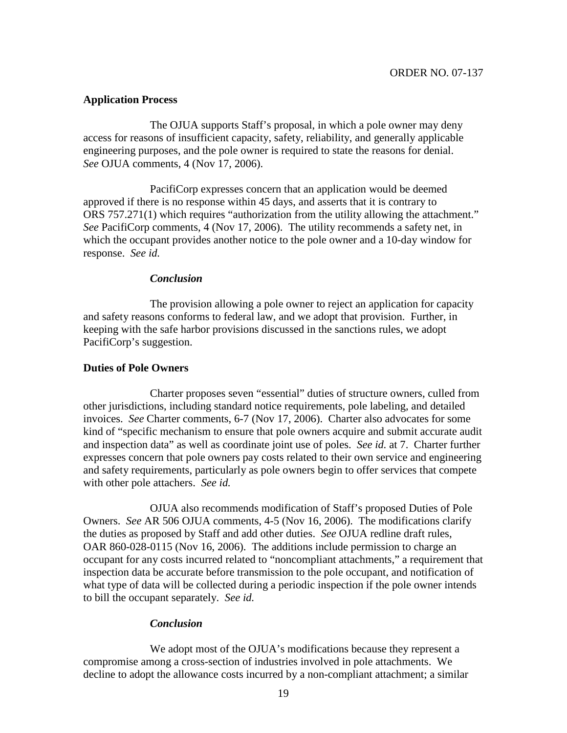### **Application Process**

The OJUA supports Staff's proposal, in which a pole owner may deny access for reasons of insufficient capacity, safety, reliability, and generally applicable engineering purposes, and the pole owner is required to state the reasons for denial. *See* OJUA comments, 4 (Nov 17, 2006).

PacifiCorp expresses concern that an application would be deemed approved if there is no response within 45 days, and asserts that it is contrary to ORS 757.271(1) which requires "authorization from the utility allowing the attachment." *See* PacifiCorp comments, 4 (Nov 17, 2006). The utility recommends a safety net, in which the occupant provides another notice to the pole owner and a 10-day window for response. *See id.*

#### *Conclusion*

The provision allowing a pole owner to reject an application for capacity and safety reasons conforms to federal law, and we adopt that provision. Further, in keeping with the safe harbor provisions discussed in the sanctions rules, we adopt PacifiCorp's suggestion.

#### **Duties of Pole Owners**

Charter proposes seven "essential" duties of structure owners, culled from other jurisdictions, including standard notice requirements, pole labeling, and detailed invoices. *See* Charter comments, 6-7 (Nov 17, 2006). Charter also advocates for some kind of "specific mechanism to ensure that pole owners acquire and submit accurate audit and inspection data" as well as coordinate joint use of poles. *See id.* at 7. Charter further expresses concern that pole owners pay costs related to their own service and engineering and safety requirements, particularly as pole owners begin to offer services that compete with other pole attachers. *See id.*

OJUA also recommends modification of Staff's proposed Duties of Pole Owners. *See* AR 506 OJUA comments, 4-5 (Nov 16, 2006). The modifications clarify the duties as proposed by Staff and add other duties. *See* OJUA redline draft rules, OAR 860-028-0115 (Nov 16, 2006). The additions include permission to charge an occupant for any costs incurred related to "noncompliant attachments," a requirement that inspection data be accurate before transmission to the pole occupant, and notification of what type of data will be collected during a periodic inspection if the pole owner intends to bill the occupant separately. *See id.*

#### *Conclusion*

We adopt most of the OJUA's modifications because they represent a compromise among a cross-section of industries involved in pole attachments. We decline to adopt the allowance costs incurred by a non-compliant attachment; a similar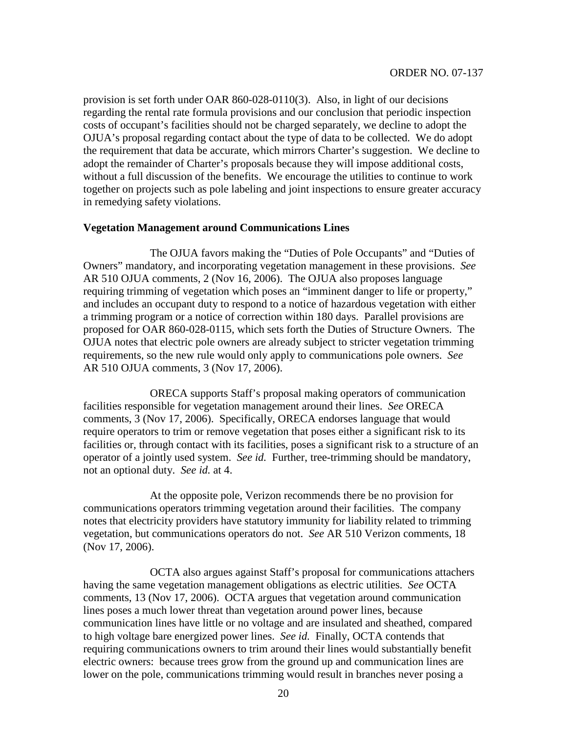provision is set forth under OAR 860-028-0110(3). Also, in light of our decisions regarding the rental rate formula provisions and our conclusion that periodic inspection costs of occupant's facilities should not be charged separately, we decline to adopt the OJUA's proposal regarding contact about the type of data to be collected. We do adopt the requirement that data be accurate, which mirrors Charter's suggestion. We decline to adopt the remainder of Charter's proposals because they will impose additional costs, without a full discussion of the benefits. We encourage the utilities to continue to work together on projects such as pole labeling and joint inspections to ensure greater accuracy in remedying safety violations.

### **Vegetation Management around Communications Lines**

The OJUA favors making the "Duties of Pole Occupants" and "Duties of Owners" mandatory, and incorporating vegetation management in these provisions. *See* AR 510 OJUA comments, 2 (Nov 16, 2006). The OJUA also proposes language requiring trimming of vegetation which poses an "imminent danger to life or property," and includes an occupant duty to respond to a notice of hazardous vegetation with either a trimming program or a notice of correction within 180 days. Parallel provisions are proposed for OAR 860-028-0115, which sets forth the Duties of Structure Owners. The OJUA notes that electric pole owners are already subject to stricter vegetation trimming requirements, so the new rule would only apply to communications pole owners. *See* AR 510 OJUA comments, 3 (Nov 17, 2006).

ORECA supports Staff's proposal making operators of communication facilities responsible for vegetation management around their lines. *See* ORECA comments, 3 (Nov 17, 2006). Specifically, ORECA endorses language that would require operators to trim or remove vegetation that poses either a significant risk to its facilities or, through contact with its facilities, poses a significant risk to a structure of an operator of a jointly used system. *See id.* Further, tree-trimming should be mandatory, not an optional duty. *See id.* at 4.

At the opposite pole, Verizon recommends there be no provision for communications operators trimming vegetation around their facilities. The company notes that electricity providers have statutory immunity for liability related to trimming vegetation, but communications operators do not. *See* AR 510 Verizon comments, 18 (Nov 17, 2006).

OCTA also argues against Staff's proposal for communications attachers having the same vegetation management obligations as electric utilities. *See* OCTA comments, 13 (Nov 17, 2006). OCTA argues that vegetation around communication lines poses a much lower threat than vegetation around power lines, because communication lines have little or no voltage and are insulated and sheathed, compared to high voltage bare energized power lines. *See id.* Finally, OCTA contends that requiring communications owners to trim around their lines would substantially benefit electric owners: because trees grow from the ground up and communication lines are lower on the pole, communications trimming would result in branches never posing a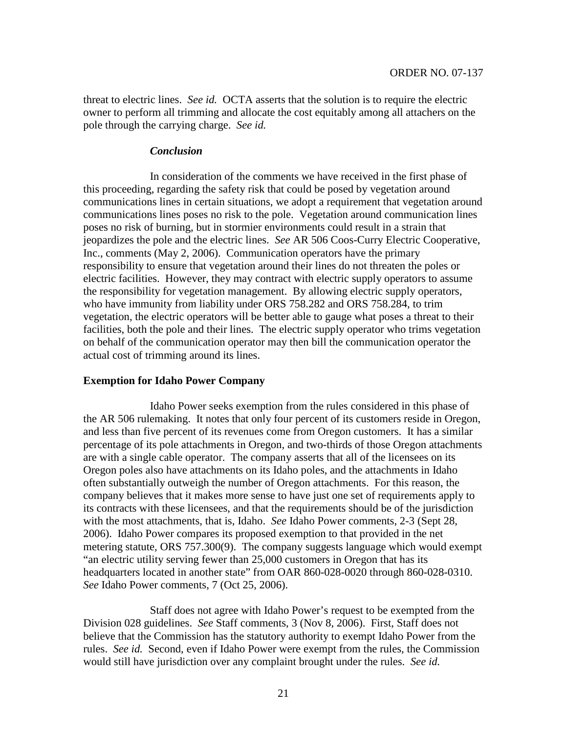threat to electric lines. *See id.* OCTA asserts that the solution is to require the electric owner to perform all trimming and allocate the cost equitably among all attachers on the pole through the carrying charge. *See id.*

#### *Conclusion*

In consideration of the comments we have received in the first phase of this proceeding, regarding the safety risk that could be posed by vegetation around communications lines in certain situations, we adopt a requirement that vegetation around communications lines poses no risk to the pole. Vegetation around communication lines poses no risk of burning, but in stormier environments could result in a strain that jeopardizes the pole and the electric lines. *See* AR 506 Coos-Curry Electric Cooperative, Inc., comments (May 2, 2006). Communication operators have the primary responsibility to ensure that vegetation around their lines do not threaten the poles or electric facilities. However, they may contract with electric supply operators to assume the responsibility for vegetation management. By allowing electric supply operators, who have immunity from liability under ORS 758.282 and ORS 758.284, to trim vegetation, the electric operators will be better able to gauge what poses a threat to their facilities, both the pole and their lines. The electric supply operator who trims vegetation on behalf of the communication operator may then bill the communication operator the actual cost of trimming around its lines.

## **Exemption for Idaho Power Company**

Idaho Power seeks exemption from the rules considered in this phase of the AR 506 rulemaking. It notes that only four percent of its customers reside in Oregon, and less than five percent of its revenues come from Oregon customers. It has a similar percentage of its pole attachments in Oregon, and two-thirds of those Oregon attachments are with a single cable operator. The company asserts that all of the licensees on its Oregon poles also have attachments on its Idaho poles, and the attachments in Idaho often substantially outweigh the number of Oregon attachments. For this reason, the company believes that it makes more sense to have just one set of requirements apply to its contracts with these licensees, and that the requirements should be of the jurisdiction with the most attachments, that is, Idaho. *See* Idaho Power comments, 2-3 (Sept 28, 2006). Idaho Power compares its proposed exemption to that provided in the net metering statute, ORS 757.300(9). The company suggests language which would exempt "an electric utility serving fewer than 25,000 customers in Oregon that has its headquarters located in another state" from OAR 860-028-0020 through 860-028-0310. *See* Idaho Power comments, 7 (Oct 25, 2006).

Staff does not agree with Idaho Power's request to be exempted from the Division 028 guidelines. *See* Staff comments, 3 (Nov 8, 2006). First, Staff does not believe that the Commission has the statutory authority to exempt Idaho Power from the rules. *See id.* Second, even if Idaho Power were exempt from the rules, the Commission would still have jurisdiction over any complaint brought under the rules. *See id.*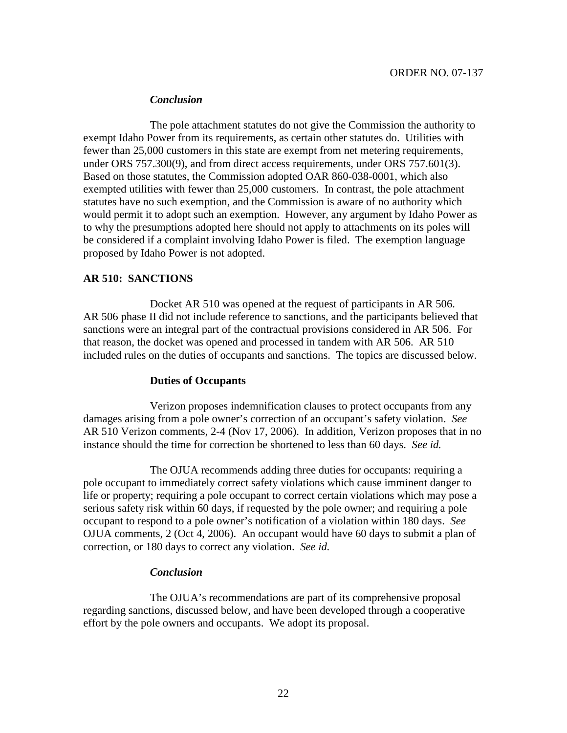### *Conclusion*

The pole attachment statutes do not give the Commission the authority to exempt Idaho Power from its requirements, as certain other statutes do. Utilities with fewer than 25,000 customers in this state are exempt from net metering requirements, under ORS 757.300(9), and from direct access requirements, under ORS 757.601(3). Based on those statutes, the Commission adopted OAR 860-038-0001, which also exempted utilities with fewer than 25,000 customers. In contrast, the pole attachment statutes have no such exemption, and the Commission is aware of no authority which would permit it to adopt such an exemption. However, any argument by Idaho Power as to why the presumptions adopted here should not apply to attachments on its poles will be considered if a complaint involving Idaho Power is filed. The exemption language proposed by Idaho Power is not adopted.

## **AR 510: SANCTIONS**

Docket AR 510 was opened at the request of participants in AR 506. AR 506 phase II did not include reference to sanctions, and the participants believed that sanctions were an integral part of the contractual provisions considered in AR 506. For that reason, the docket was opened and processed in tandem with AR 506. AR 510 included rules on the duties of occupants and sanctions. The topics are discussed below.

## **Duties of Occupants**

Verizon proposes indemnification clauses to protect occupants from any damages arising from a pole owner's correction of an occupant's safety violation. *See* AR 510 Verizon comments, 2-4 (Nov 17, 2006). In addition, Verizon proposes that in no instance should the time for correction be shortened to less than 60 days. *See id.*

The OJUA recommends adding three duties for occupants: requiring a pole occupant to immediately correct safety violations which cause imminent danger to life or property; requiring a pole occupant to correct certain violations which may pose a serious safety risk within 60 days, if requested by the pole owner; and requiring a pole occupant to respond to a pole owner's notification of a violation within 180 days. *See* OJUA comments, 2 (Oct 4, 2006). An occupant would have 60 days to submit a plan of correction, or 180 days to correct any violation. *See id.*

## *Conclusion*

The OJUA's recommendations are part of its comprehensive proposal regarding sanctions, discussed below, and have been developed through a cooperative effort by the pole owners and occupants. We adopt its proposal.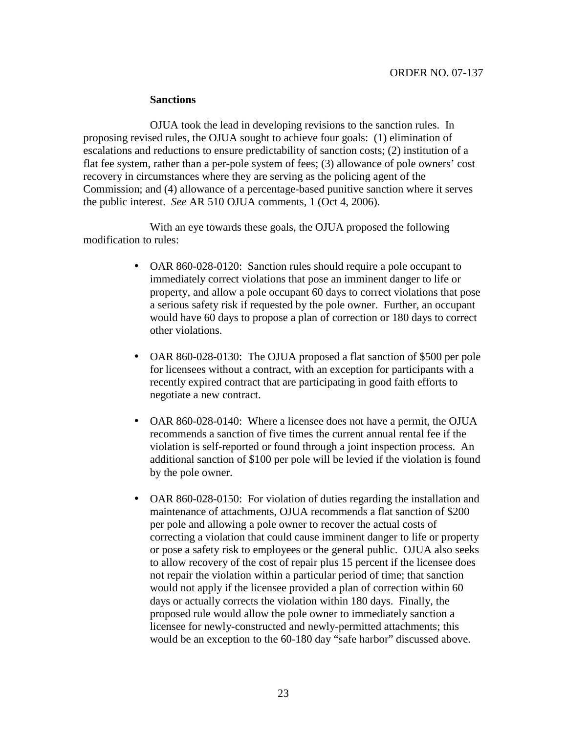#### **Sanctions**

OJUA took the lead in developing revisions to the sanction rules. In proposing revised rules, the OJUA sought to achieve four goals: (1) elimination of escalations and reductions to ensure predictability of sanction costs; (2) institution of a flat fee system, rather than a per-pole system of fees; (3) allowance of pole owners' cost recovery in circumstances where they are serving as the policing agent of the Commission; and (4) allowance of a percentage-based punitive sanction where it serves the public interest. *See* AR 510 OJUA comments, 1 (Oct 4, 2006).

With an eye towards these goals, the OJUA proposed the following modification to rules:

- OAR 860-028-0120: Sanction rules should require a pole occupant to immediately correct violations that pose an imminent danger to life or property, and allow a pole occupant 60 days to correct violations that pose a serious safety risk if requested by the pole owner. Further, an occupant would have 60 days to propose a plan of correction or 180 days to correct other violations.
- OAR 860-028-0130: The OJUA proposed a flat sanction of \$500 per pole for licensees without a contract, with an exception for participants with a recently expired contract that are participating in good faith efforts to negotiate a new contract.
- OAR 860-028-0140: Where a licensee does not have a permit, the OJUA recommends a sanction of five times the current annual rental fee if the violation is self-reported or found through a joint inspection process. An additional sanction of \$100 per pole will be levied if the violation is found by the pole owner.
- OAR 860-028-0150: For violation of duties regarding the installation and maintenance of attachments, OJUA recommends a flat sanction of \$200 per pole and allowing a pole owner to recover the actual costs of correcting a violation that could cause imminent danger to life or property or pose a safety risk to employees or the general public. OJUA also seeks to allow recovery of the cost of repair plus 15 percent if the licensee does not repair the violation within a particular period of time; that sanction would not apply if the licensee provided a plan of correction within 60 days or actually corrects the violation within 180 days. Finally, the proposed rule would allow the pole owner to immediately sanction a licensee for newly-constructed and newly-permitted attachments; this would be an exception to the 60-180 day "safe harbor" discussed above.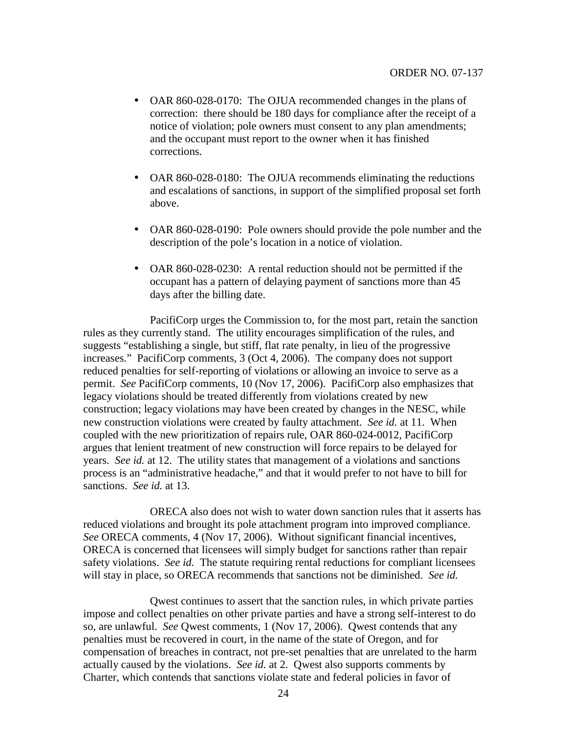- OAR 860-028-0170: The OJUA recommended changes in the plans of correction: there should be 180 days for compliance after the receipt of a notice of violation; pole owners must consent to any plan amendments; and the occupant must report to the owner when it has finished corrections.
- OAR 860-028-0180: The OJUA recommends eliminating the reductions and escalations of sanctions, in support of the simplified proposal set forth above.
- OAR 860-028-0190: Pole owners should provide the pole number and the description of the pole's location in a notice of violation.
- OAR 860-028-0230: A rental reduction should not be permitted if the occupant has a pattern of delaying payment of sanctions more than 45 days after the billing date.

PacifiCorp urges the Commission to, for the most part, retain the sanction rules as they currently stand. The utility encourages simplification of the rules, and suggests "establishing a single, but stiff, flat rate penalty, in lieu of the progressive increases." PacifiCorp comments, 3 (Oct 4, 2006). The company does not support reduced penalties for self-reporting of violations or allowing an invoice to serve as a permit. *See* PacifiCorp comments, 10 (Nov 17, 2006). PacifiCorp also emphasizes that legacy violations should be treated differently from violations created by new construction; legacy violations may have been created by changes in the NESC, while new construction violations were created by faulty attachment. *See id.* at 11. When coupled with the new prioritization of repairs rule, OAR 860-024-0012, PacifiCorp argues that lenient treatment of new construction will force repairs to be delayed for years. *See id.* at 12. The utility states that management of a violations and sanctions process is an "administrative headache," and that it would prefer to not have to bill for sanctions. *See id.* at 13.

ORECA also does not wish to water down sanction rules that it asserts has reduced violations and brought its pole attachment program into improved compliance. *See* ORECA comments, 4 (Nov 17, 2006). Without significant financial incentives, ORECA is concerned that licensees will simply budget for sanctions rather than repair safety violations. *See id.* The statute requiring rental reductions for compliant licensees will stay in place, so ORECA recommends that sanctions not be diminished. *See id.*

Qwest continues to assert that the sanction rules, in which private parties impose and collect penalties on other private parties and have a strong self-interest to do so, are unlawful. *See* Qwest comments, 1 (Nov 17, 2006). Qwest contends that any penalties must be recovered in court, in the name of the state of Oregon, and for compensation of breaches in contract, not pre-set penalties that are unrelated to the harm actually caused by the violations. *See id.* at 2. Qwest also supports comments by Charter, which contends that sanctions violate state and federal policies in favor of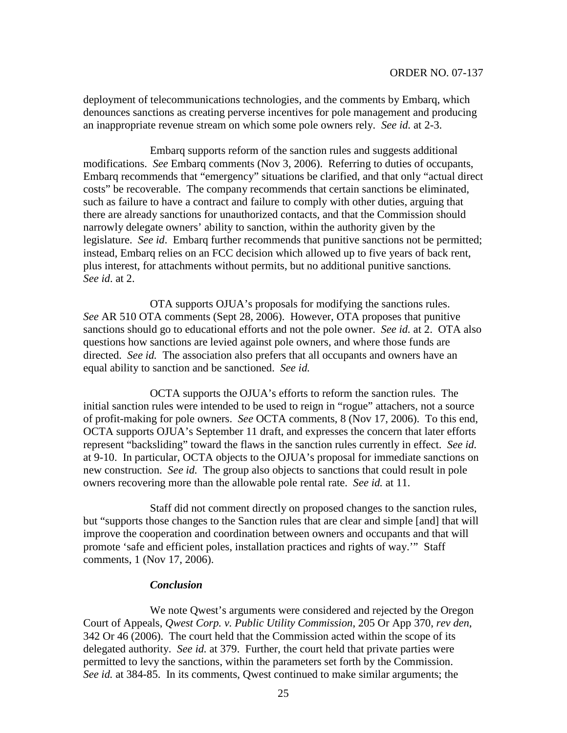deployment of telecommunications technologies, and the comments by Embarq, which denounces sanctions as creating perverse incentives for pole management and producing an inappropriate revenue stream on which some pole owners rely. *See id.* at 2-3.

Embarq supports reform of the sanction rules and suggests additional modifications. *See* Embarq comments (Nov 3, 2006). Referring to duties of occupants, Embarq recommends that "emergency" situations be clarified, and that only "actual direct costs" be recoverable. The company recommends that certain sanctions be eliminated, such as failure to have a contract and failure to comply with other duties, arguing that there are already sanctions for unauthorized contacts, and that the Commission should narrowly delegate owners' ability to sanction, within the authority given by the legislature. *See id*. Embarq further recommends that punitive sanctions not be permitted; instead, Embarq relies on an FCC decision which allowed up to five years of back rent, plus interest, for attachments without permits, but no additional punitive sanctions*. See id*. at 2.

OTA supports OJUA's proposals for modifying the sanctions rules. *See* AR 510 OTA comments (Sept 28, 2006). However, OTA proposes that punitive sanctions should go to educational efforts and not the pole owner. *See id.* at 2. OTA also questions how sanctions are levied against pole owners, and where those funds are directed. *See id.* The association also prefers that all occupants and owners have an equal ability to sanction and be sanctioned. *See id.*

OCTA supports the OJUA's efforts to reform the sanction rules. The initial sanction rules were intended to be used to reign in "rogue" attachers, not a source of profit-making for pole owners. *See* OCTA comments, 8 (Nov 17, 2006). To this end, OCTA supports OJUA's September 11 draft, and expresses the concern that later efforts represent "backsliding" toward the flaws in the sanction rules currently in effect. *See id.* at 9-10. In particular, OCTA objects to the OJUA's proposal for immediate sanctions on new construction. *See id.* The group also objects to sanctions that could result in pole owners recovering more than the allowable pole rental rate. *See id.* at 11.

Staff did not comment directly on proposed changes to the sanction rules, but "supports those changes to the Sanction rules that are clear and simple [and] that will improve the cooperation and coordination between owners and occupants and that will promote 'safe and efficient poles, installation practices and rights of way.'" Staff comments, 1 (Nov 17, 2006).

#### *Conclusion*

We note Qwest's arguments were considered and rejected by the Oregon Court of Appeals, *Qwest Corp. v. Public Utility Commission*, 205 Or App 370, *rev den*, 342 Or 46 (2006). The court held that the Commission acted within the scope of its delegated authority. *See id.* at 379. Further, the court held that private parties were permitted to levy the sanctions, within the parameters set forth by the Commission. *See id.* at 384-85. In its comments, Qwest continued to make similar arguments; the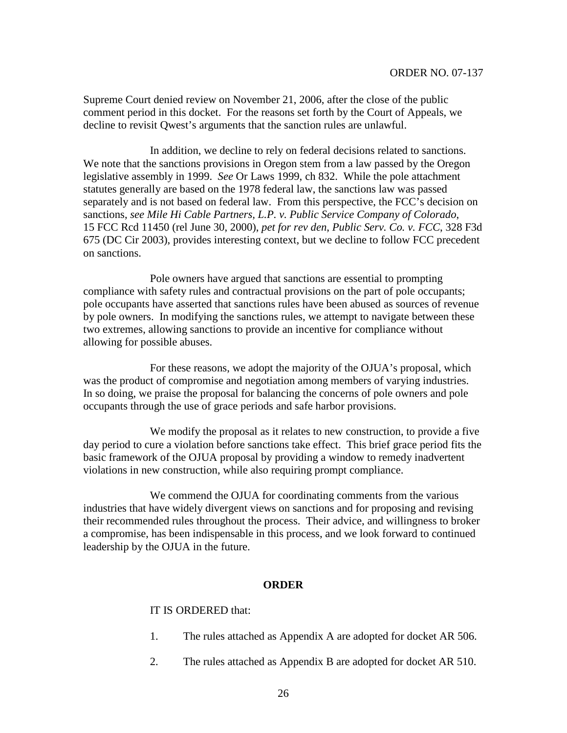Supreme Court denied review on November 21, 2006, after the close of the public comment period in this docket. For the reasons set forth by the Court of Appeals, we decline to revisit Qwest's arguments that the sanction rules are unlawful.

In addition, we decline to rely on federal decisions related to sanctions. We note that the sanctions provisions in Oregon stem from a law passed by the Oregon legislative assembly in 1999. *See* Or Laws 1999, ch 832. While the pole attachment statutes generally are based on the 1978 federal law, the sanctions law was passed separately and is not based on federal law. From this perspective, the FCC's decision on sanctions, *see Mile Hi Cable Partners, L.P. v. Public Service Company of Colorado*, 15 FCC Rcd 11450 (rel June 30, 2000), *pet for rev den*, *Public Serv. Co. v. FCC*, 328 F3d 675 (DC Cir 2003), provides interesting context, but we decline to follow FCC precedent on sanctions.

Pole owners have argued that sanctions are essential to prompting compliance with safety rules and contractual provisions on the part of pole occupants; pole occupants have asserted that sanctions rules have been abused as sources of revenue by pole owners. In modifying the sanctions rules, we attempt to navigate between these two extremes, allowing sanctions to provide an incentive for compliance without allowing for possible abuses.

For these reasons, we adopt the majority of the OJUA's proposal, which was the product of compromise and negotiation among members of varying industries. In so doing, we praise the proposal for balancing the concerns of pole owners and pole occupants through the use of grace periods and safe harbor provisions.

We modify the proposal as it relates to new construction, to provide a five day period to cure a violation before sanctions take effect. This brief grace period fits the basic framework of the OJUA proposal by providing a window to remedy inadvertent violations in new construction, while also requiring prompt compliance.

We commend the OJUA for coordinating comments from the various industries that have widely divergent views on sanctions and for proposing and revising their recommended rules throughout the process. Their advice, and willingness to broker a compromise, has been indispensable in this process, and we look forward to continued leadership by the OJUA in the future.

#### **ORDER**

## IT IS ORDERED that:

- 1. The rules attached as Appendix A are adopted for docket AR 506.
- 2. The rules attached as Appendix B are adopted for docket AR 510.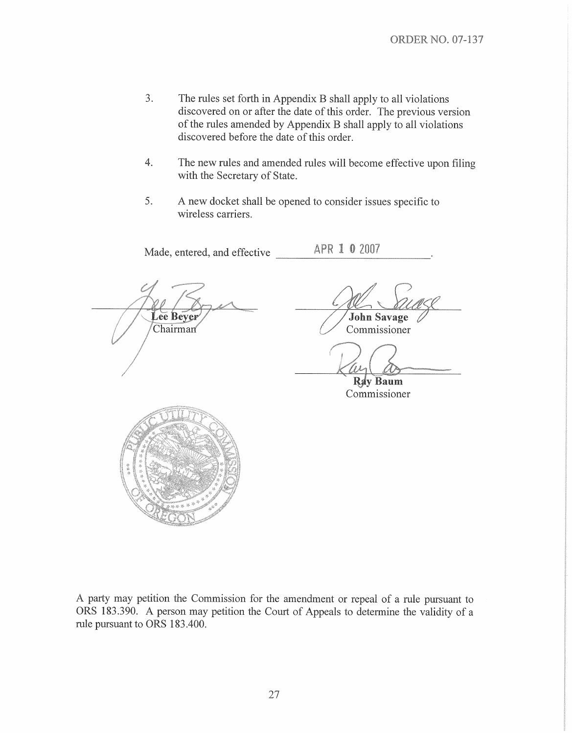- $3.$ The rules set forth in Appendix B shall apply to all violations discovered on or after the date of this order. The previous version of the rules amended by Appendix B shall apply to all violations discovered before the date of this order.
- $\overline{4}$ . The new rules and amended rules will become effective upon filing with the Secretary of State.
- 5. A new docket shall be opened to consider issues specific to wireless carriers.

APR 1 0 2007 Made, entered, and effective Lee Bever John Savage Chairman Commissioner Ray Baum Commissioner

A party may petition the Commission for the amendment or repeal of a rule pursuant to ORS 183.390. A person may petition the Court of Appeals to determine the validity of a rule pursuant to ORS 183.400.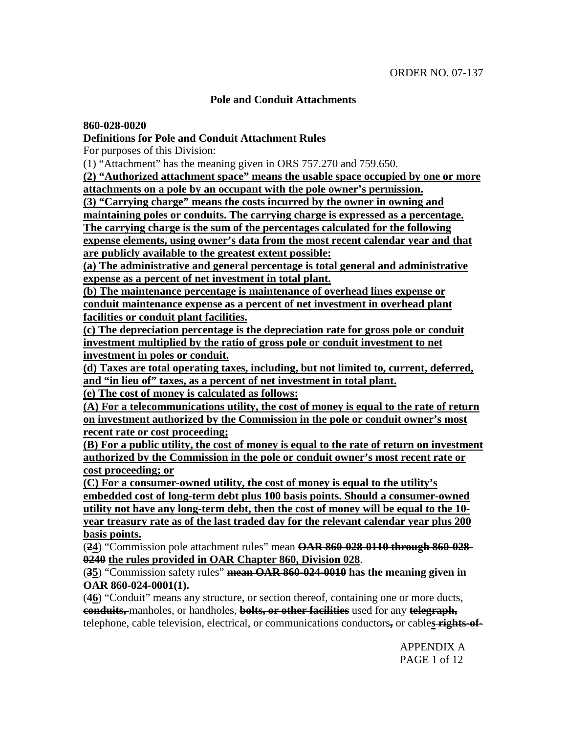## **Pole and Conduit Attachments**

### **860-028-0020**

## **Definitions for Pole and Conduit Attachment Rules**

For purposes of this Division:

(1) "Attachment" has the meaning given in ORS 757.270 and 759.650.

**(2) "Authorized attachment space" means the usable space occupied by one or more attachments on a pole by an occupant with the pole owner's permission.**

**(3) "Carrying charge" means the costs incurred by the owner in owning and**

**maintaining poles or conduits. The carrying charge is expressed as a percentage.**

**The carrying charge is the sum of the percentages calculated for the following**

**expense elements, using owner's data from the most recent calendar year and that are publicly available to the greatest extent possible:**

**(a) The administrative and general percentage is total general and administrative expense as a percent of net investment in total plant.**

**(b) The maintenance percentage is maintenance of overhead lines expense or conduit maintenance expense as a percent of net investment in overhead plant facilities or conduit plant facilities.**

**(c) The depreciation percentage is the depreciation rate for gross pole or conduit investment multiplied by the ratio of gross pole or conduit investment to net investment in poles or conduit.**

**(d) Taxes are total operating taxes, including, but not limited to, current, deferred, and "in lieu of" taxes, as a percent of net investment in total plant.**

**(e) The cost of money is calculated as follows:**

**(A) For a telecommunications utility, the cost of money is equal to the rate of return on investment authorized by the Commission in the pole or conduit owner's most recent rate or cost proceeding;**

**(B) For a public utility, the cost of money is equal to the rate of return on investment authorized by the Commission in the pole or conduit owner's most recent rate or cost proceeding; or**

**(C) For a consumer-owned utility, the cost of money is equal to the utility's embedded cost of long-term debt plus 100 basis points. Should a consumer-owned utility not have any long-term debt, then the cost of money will be equal to the 10 year treasury rate as of the last traded day for the relevant calendar year plus 200 basis points.**

(**24**) "Commission pole attachment rules" mean **OAR 860-028-0110 through 860-028- 0240 the rules provided in OAR Chapter 860, Division 028**.

(**35**) "Commission safety rules" **mean OAR 860-024-0010 has the meaning given in OAR 860-024-0001(1).**

(**46**) "Conduit" means any structure, or section thereof, containing one or more ducts, **conduits,** manholes, or handholes, **bolts, or other facilities** used for any **telegraph,** telephone, cable television, electrical, or communications conductors**,** or cable**s rights-of-**

> APPENDIX A PAGE 1 of 12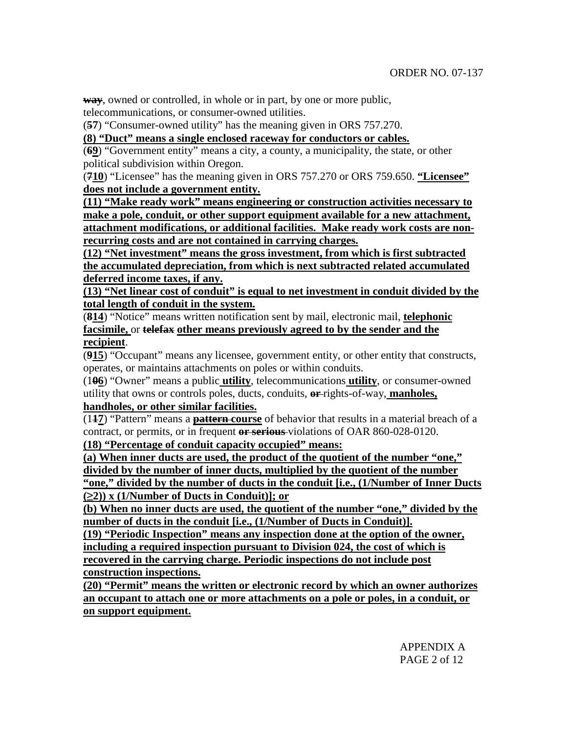**way**, owned or controlled, in whole or in part, by one or more public, telecommunications, or consumer-owned utilities.

(**57**) "Consumer-owned utility" has the meaning given in ORS 757.270.

**(8) "Duct" means a single enclosed raceway for conductors or cables.**

(**69**) "Government entity" means a city, a county, a municipality, the state, or other political subdivision within Oregon.

(**710**) "Licensee" has the meaning given in ORS 757.270 or ORS 759.650. **"Licensee" does not include a government entity.**

**(11) "Make ready work" means engineering or construction activities necessary to make a pole, conduit, or other support equipment available for a new attachment, attachment modifications, or additional facilities. Make ready work costs are nonrecurring costs and are not contained in carrying charges.**

**(12) "Net investment" means the gross investment, from which is first subtracted the accumulated depreciation, from which is next subtracted related accumulated deferred income taxes, if any.**

**(13) "Net linear cost of conduit" is equal to net investment in conduit divided by the total length of conduit in the system.**

(**814**) "Notice" means written notification sent by mail, electronic mail, **telephonic facsimile,** or **telefax other means previously agreed to by the sender and the recipient**.

(**915**) "Occupant" means any licensee, government entity, or other entity that constructs, operates, or maintains attachments on poles or within conduits.

(1**06**) "Owner" means a public **utility**, telecommunications **utility**, or consumer-owned utility that owns or controls poles, ducts, conduits, **or** rights-of-way, **manholes, handholes, or other similar facilities.**

(1**17**) "Pattern" means a **pattern course** of behavior that results in a material breach of a contract, or permits, or in frequent **or serious** violations of OAR 860-028-0120.

**(18) "Percentage of conduit capacity occupied" means:**

**(a) When inner ducts are used, the product of the quotient of the number "one," divided by the number of inner ducts, multiplied by the quotient of the number "one," divided by the number of ducts in the conduit [i.e., (1/Number of Inner Ducts (2)) x (1/Number of Ducts in Conduit)]; or**

**(b) When no inner ducts are used, the quotient of the number "one," divided by the number of ducts in the conduit [i.e., (1/Number of Ducts in Conduit)].**

**(19) "Periodic Inspection" means any inspection done at the option of the owner, including a required inspection pursuant to Division 024, the cost of which is recovered in the carrying charge. Periodic inspections do not include post construction inspections.**

**(20) "Permit" means the written or electronic record by which an owner authorizes an occupant to attach one or more attachments on a pole or poles, in a conduit, or on support equipment.**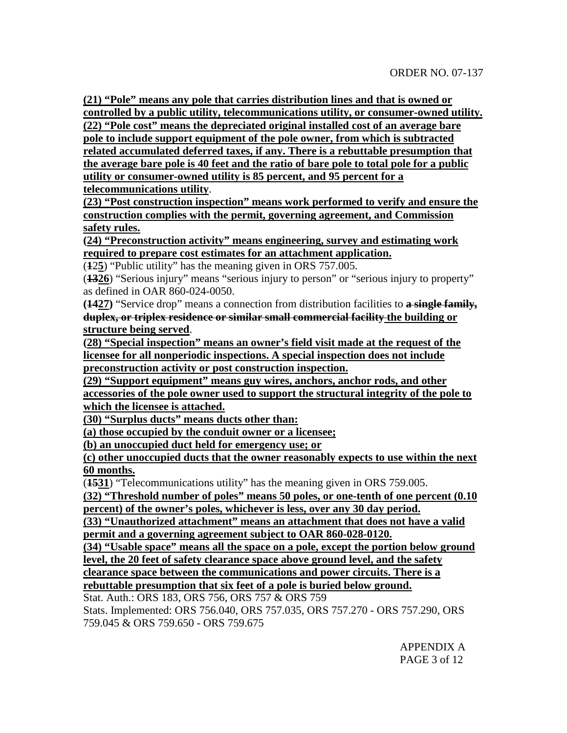**(21) "Pole" means any pole that carries distribution lines and that is owned or controlled by a public utility, telecommunications utility, or consumer-owned utility. (22) "Pole cost" means the depreciated original installed cost of an average bare pole to include support equipment of the pole owner, from which is subtracted related accumulated deferred taxes, if any. There is a rebuttable presumption that the average bare pole is 40 feet and the ratio of bare pole to total pole for a public utility or consumer-owned utility is 85 percent, and 95 percent for a telecommunications utility**.

**(23) "Post construction inspection" means work performed to verify and ensure the construction complies with the permit, governing agreement, and Commission safety rules.**

**(24) "Preconstruction activity" means engineering, survey and estimating work required to prepare cost estimates for an attachment application.**

(**1**2**5**) "Public utility" has the meaning given in ORS 757.005.

(**1326**) "Serious injury" means "serious injury to person" or "serious injury to property" as defined in OAR 860-024-0050.

**(1427)** "Service drop" means a connection from distribution facilities to **a single family, duplex, or triplex residence or similar small commercial facility the building or structure being served**.

**(28) "Special inspection" means an owner's field visit made at the request of the licensee for all nonperiodic inspections. A special inspection does not include preconstruction activity or post construction inspection.**

**(29) "Support equipment" means guy wires, anchors, anchor rods, and other accessories of the pole owner used to support the structural integrity of the pole to which the licensee is attached.**

**(30) "Surplus ducts" means ducts other than:**

**(a) those occupied by the conduit owner or a licensee;**

**(b) an unoccupied duct held for emergency use; or**

**(c) other unoccupied ducts that the owner reasonably expects to use within the next 60 months.**

(**1531**) "Telecommunications utility" has the meaning given in ORS 759.005.

**(32) "Threshold number of poles" means 50 poles, or one-tenth of one percent (0.10 percent) of the owner's poles, whichever is less, over any 30 day period.**

**(33) "Unauthorized attachment" means an attachment that does not have a valid permit and a governing agreement subject to OAR 860-028-0120.**

**(34) "Usable space" means all the space on a pole, except the portion below ground level, the 20 feet of safety clearance space above ground level, and the safety clearance space between the communications and power circuits. There is a rebuttable presumption that six feet of a pole is buried below ground.**

Stat. Auth.: ORS 183, ORS 756, ORS 757 & ORS 759 Stats. Implemented: ORS 756.040, ORS 757.035, ORS 757.270 - ORS 757.290, ORS 759.045 & ORS 759.650 - ORS 759.675

> APPENDIX A PAGE 3 of 12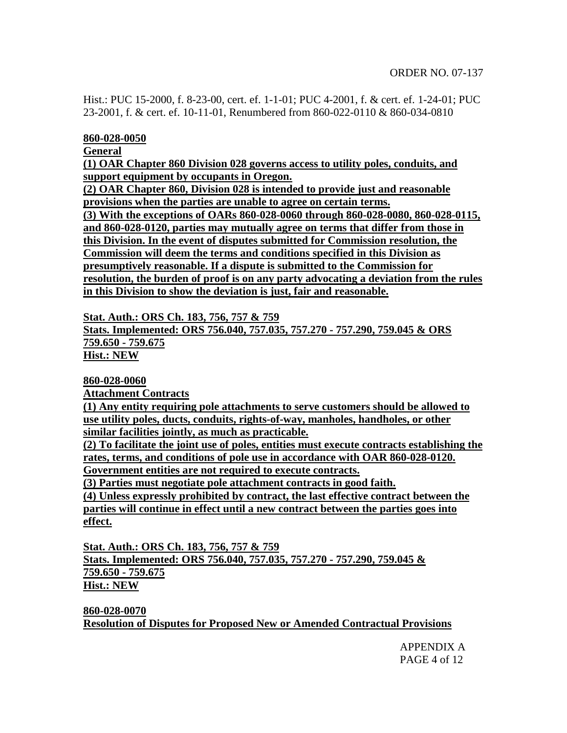Hist.: PUC 15-2000, f. 8-23-00, cert. ef. 1-1-01; PUC 4-2001, f. & cert. ef. 1-24-01; PUC 23-2001, f. & cert. ef. 10-11-01, Renumbered from 860-022-0110 & 860-034-0810

#### **860-028-0050**

**General**

**(1) OAR Chapter 860 Division 028 governs access to utility poles, conduits, and support equipment by occupants in Oregon.**

**(2) OAR Chapter 860, Division 028 is intended to provide just and reasonable provisions when the parties are unable to agree on certain terms.**

**(3) With the exceptions of OARs 860-028-0060 through 860-028-0080, 860-028-0115, and 860-028-0120, parties may mutually agree on terms that differ from those in this Division. In the event of disputes submitted for Commission resolution, the Commission will deem the terms and conditions specified in this Division as presumptively reasonable. If a dispute is submitted to the Commission for resolution, the burden of proof is on any party advocating a deviation from the rules in this Division to show the deviation is just, fair and reasonable.**

**Stat. Auth.: ORS Ch. 183, 756, 757 & 759**

**Stats. Implemented: ORS 756.040, 757.035, 757.270 - 757.290, 759.045 & ORS 759.650 - 759.675**

**Hist.: NEW**

**860-028-0060**

**Attachment Contracts**

**(1) Any entity requiring pole attachments to serve customers should be allowed to use utility poles, ducts, conduits, rights-of-way, manholes, handholes, or other similar facilities jointly, as much as practicable.**

**(2) To facilitate the joint use of poles, entities must execute contracts establishing the rates, terms, and conditions of pole use in accordance with OAR 860-028-0120.**

**Government entities are not required to execute contracts.**

**(3) Parties must negotiate pole attachment contracts in good faith.**

**(4) Unless expressly prohibited by contract, the last effective contract between the parties will continue in effect until a new contract between the parties goes into effect.**

**Stat. Auth.: ORS Ch. 183, 756, 757 & 759 Stats. Implemented: ORS 756.040, 757.035, 757.270 - 757.290, 759.045 & 759.650 - 759.675 Hist.: NEW**

**860-028-0070 Resolution of Disputes for Proposed New or Amended Contractual Provisions**

> APPENDIX A PAGE 4 of 12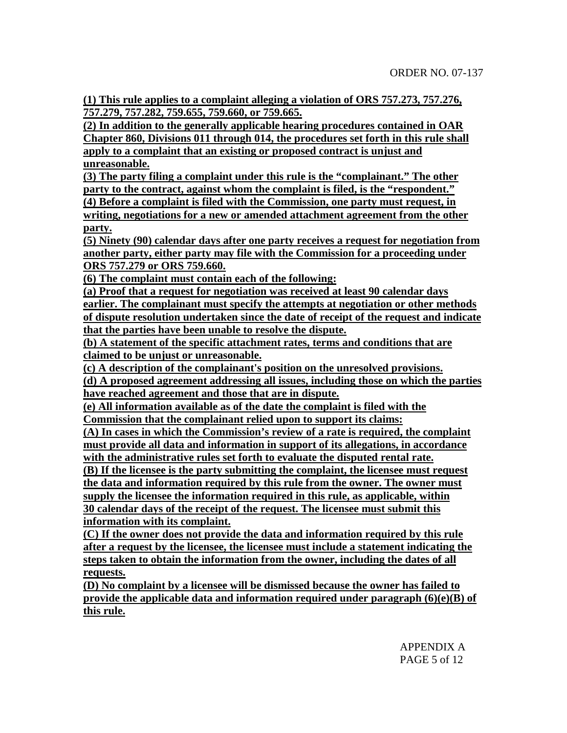**(1) This rule applies to a complaint alleging a violation of ORS 757.273, 757.276, 757.279, 757.282, 759.655, 759.660, or 759.665.**

**(2) In addition to the generally applicable hearing procedures contained in OAR Chapter 860, Divisions 011 through 014, the procedures set forth in this rule shall apply to a complaint that an existing or proposed contract is unjust and unreasonable.**

**(3) The party filing a complaint under this rule is the "complainant." The other party to the contract, against whom the complaint is filed, is the "respondent." (4) Before a complaint is filed with the Commission, one party must request, in**

**writing, negotiations for a new or amended attachment agreement from the other party.**

**(5) Ninety (90) calendar days after one party receives a request for negotiation from another party, either party may file with the Commission for a proceeding under ORS 757.279 or ORS 759.660.**

**(6) The complaint must contain each of the following:**

**(a) Proof that a request for negotiation was received at least 90 calendar days earlier. The complainant must specify the attempts at negotiation or other methods of dispute resolution undertaken since the date of receipt of the request and indicate that the parties have been unable to resolve the dispute.**

**(b) A statement of the specific attachment rates, terms and conditions that are claimed to be unjust or unreasonable.**

**(c) A description of the complainant's position on the unresolved provisions. (d) A proposed agreement addressing all issues, including those on which the parties have reached agreement and those that are in dispute.**

**(e) All information available as of the date the complaint is filed with the Commission that the complainant relied upon to support its claims:**

**(A) In cases in which the Commission's review of a rate is required, the complaint must provide all data and information in support of its allegations, in accordance with the administrative rules set forth to evaluate the disputed rental rate.**

**(B) If the licensee is the party submitting the complaint, the licensee must request the data and information required by this rule from the owner. The owner must supply the licensee the information required in this rule, as applicable, within 30 calendar days of the receipt of the request. The licensee must submit this information with its complaint.**

**(C) If the owner does not provide the data and information required by this rule after a request by the licensee, the licensee must include a statement indicating the steps taken to obtain the information from the owner, including the dates of all requests.**

**(D) No complaint by a licensee will be dismissed because the owner has failed to provide the applicable data and information required under paragraph (6)(e)(B) of this rule.**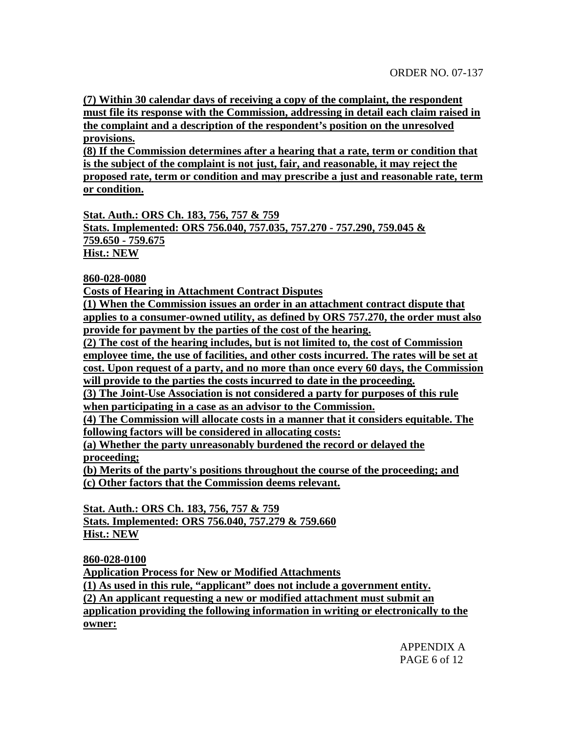**(7) Within 30 calendar days of receiving a copy of the complaint, the respondent must file its response with the Commission, addressing in detail each claim raised in the complaint and a description of the respondent's position on the unresolved provisions.**

**(8) If the Commission determines after a hearing that a rate, term or condition that is the subject of the complaint is not just, fair, and reasonable, it may reject the proposed rate, term or condition and may prescribe a just and reasonable rate, term or condition.**

**Stat. Auth.: ORS Ch. 183, 756, 757 & 759 Stats. Implemented: ORS 756.040, 757.035, 757.270 - 757.290, 759.045 & 759.650 - 759.675 Hist.: NEW**

**860-028-0080**

**Costs of Hearing in Attachment Contract Disputes**

**(1) When the Commission issues an order in an attachment contract dispute that applies to a consumer-owned utility, as defined by ORS 757.270, the order must also provide for payment by the parties of the cost of the hearing.**

**(2) The cost of the hearing includes, but is not limited to, the cost of Commission employee time, the use of facilities, and other costs incurred. The rates will be set at cost. Upon request of a party, and no more than once every 60 days, the Commission will provide to the parties the costs incurred to date in the proceeding.**

**(3) The Joint-Use Association is not considered a party for purposes of this rule when participating in a case as an advisor to the Commission.**

**(4) The Commission will allocate costs in a manner that it considers equitable. The following factors will be considered in allocating costs:**

**(a) Whether the party unreasonably burdened the record or delayed the proceeding;**

**(b) Merits of the party's positions throughout the course of the proceeding; and (c) Other factors that the Commission deems relevant.**

**Stat. Auth.: ORS Ch. 183, 756, 757 & 759 Stats. Implemented: ORS 756.040, 757.279 & 759.660 Hist.: NEW**

**860-028-0100**

**Application Process for New or Modified Attachments**

**(1) As used in this rule, "applicant" does not include a government entity.**

**(2) An applicant requesting a new or modified attachment must submit an**

**application providing the following information in writing or electronically to the owner:**

> APPENDIX A PAGE 6 of 12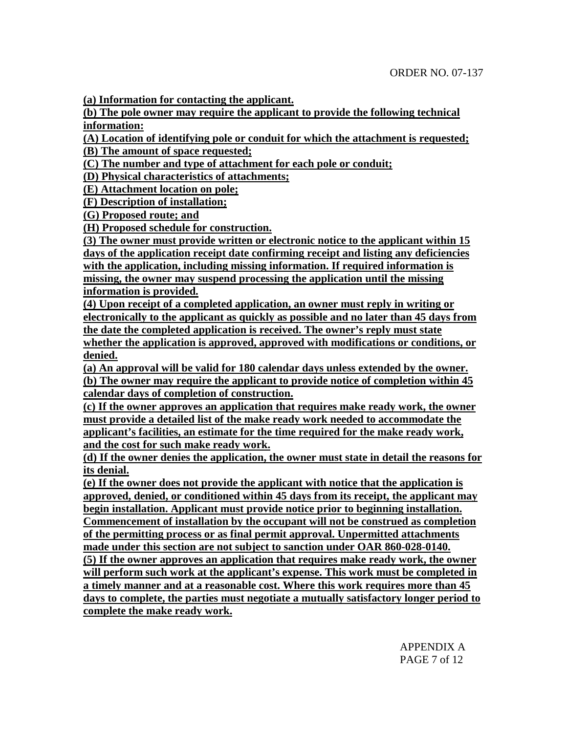**(a) Information for contacting the applicant.**

**(b) The pole owner may require the applicant to provide the following technical information:**

**(A) Location of identifying pole or conduit for which the attachment is requested;**

**(B) The amount of space requested;**

**(C) The number and type of attachment for each pole or conduit;**

**(D) Physical characteristics of attachments;**

**(E) Attachment location on pole;**

**(F) Description of installation;**

**(G) Proposed route; and**

**(H) Proposed schedule for construction.**

**(3) The owner must provide written or electronic notice to the applicant within 15 days of the application receipt date confirming receipt and listing any deficiencies with the application, including missing information. If required information is missing, the owner may suspend processing the application until the missing information is provided.**

**(4) Upon receipt of a completed application, an owner must reply in writing or electronically to the applicant as quickly as possible and no later than 45 days from the date the completed application is received. The owner's reply must state whether the application is approved, approved with modifications or conditions, or denied.**

**(a) An approval will be valid for 180 calendar days unless extended by the owner. (b) The owner may require the applicant to provide notice of completion within 45 calendar days of completion of construction.**

**(c) If the owner approves an application that requires make ready work, the owner must provide a detailed list of the make ready work needed to accommodate the applicant's facilities, an estimate for the time required for the make ready work, and the cost for such make ready work.**

**(d) If the owner denies the application, the owner must state in detail the reasons for its denial.**

**(e) If the owner does not provide the applicant with notice that the application is approved, denied, or conditioned within 45 days from its receipt, the applicant may begin installation. Applicant must provide notice prior to beginning installation. Commencement of installation by the occupant will not be construed as completion of the permitting process or as final permit approval. Unpermitted attachments made under this section are not subject to sanction under OAR 860-028-0140. (5) If the owner approves an application that requires make ready work, the owner will perform such work at the applicant's expense. This work must be completed in a timely manner and at a reasonable cost. Where this work requires more than 45 days to complete, the parties must negotiate a mutually satisfactory longer period to complete the make ready work.**

> APPENDIX A PAGE 7 of 12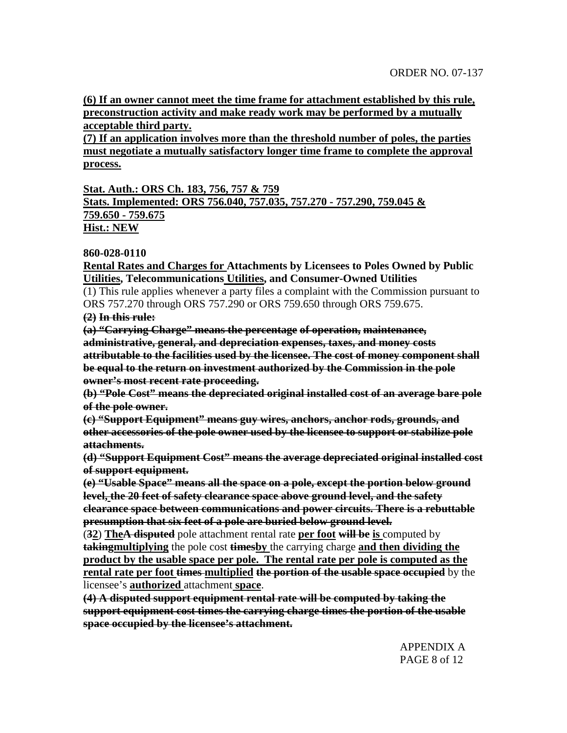**(6) If an owner cannot meet the time frame for attachment established by this rule, preconstruction activity and make ready work may be performed by a mutually acceptable third party.**

**(7) If an application involves more than the threshold number of poles, the parties must negotiate a mutually satisfactory longer time frame to complete the approval process.**

**Stat. Auth.: ORS Ch. 183, 756, 757 & 759**

**Stats. Implemented: ORS 756.040, 757.035, 757.270 - 757.290, 759.045 & 759.650 - 759.675 Hist.: NEW**

**860-028-0110**

**Rental Rates and Charges for Attachments by Licensees to Poles Owned by Public Utilities, Telecommunications Utilities, and Consumer-Owned Utilities**

(1) This rule applies whenever a party files a complaint with the Commission pursuant to ORS 757.270 through ORS 757.290 or ORS 759.650 through ORS 759.675.

**(2) In this rule:**

**(a) "Carrying Charge" means the percentage of operation, maintenance, administrative, general, and depreciation expenses, taxes, and money costs attributable to the facilities used by the licensee. The cost of money component shall be equal to the return on investment authorized by the Commission in the pole owner's most recent rate proceeding.**

**(b) "Pole Cost" means the depreciated original installed cost of an average bare pole of the pole owner.**

**(c) "Support Equipment" means guy wires, anchors, anchor rods, grounds, and other accessories of the pole owner used by the licensee to support or stabilize pole attachments.**

**(d) "Support Equipment Cost" means the average depreciated original installed cost of support equipment.**

**(e) "Usable Space" means all the space on a pole, except the portion below ground level, the 20 feet of safety clearance space above ground level, and the safety clearance space between communications and power circuits. There is a rebuttable presumption that six feet of a pole are buried below ground level.**

(**32**) **TheA disputed** pole attachment rental rate **per foot will be is** computed by **takingmultiplying** the pole cost **timesby** the carrying charge **and then dividing the product by the usable space per pole. The rental rate per pole is computed as the rental rate per foot times multiplied the portion of the usable space occupied** by the licensee's **authorized** attachment **space**.

**(4) A disputed support equipment rental rate will be computed by taking the support equipment cost times the carrying charge times the portion of the usable space occupied by the licensee's attachment.**

> APPENDIX A PAGE 8 of 12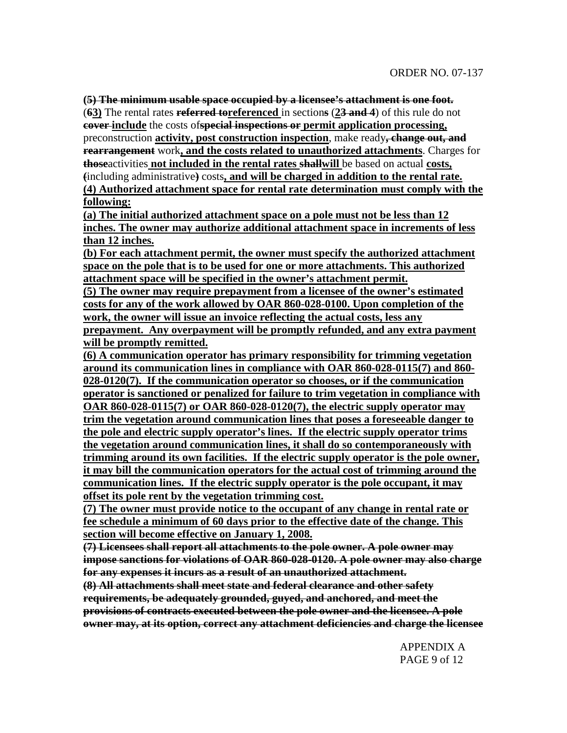**(5) The minimum usable space occupied by a licensee's attachment is one foot.** (**63)** The rental rates **referred toreferenced** in section**s** (**23 and 4**) of this rule do not **cover include** the costs of**special inspections or permit application processing,** preconstruction **activity, post construction inspection**, make ready**, change out, and rearrangement** work**, and the costs related to unauthorized attachments**. Charges for **those**activities **not included in the rental rates shallwill** be based on actual **costs, (**including administrative**)** costs**, and will be charged in addition to the rental rate. (4) Authorized attachment space for rental rate determination must comply with the following:**

**(a) The initial authorized attachment space on a pole must not be less than 12 inches. The owner may authorize additional attachment space in increments of less than 12 inches.**

**(b) For each attachment permit, the owner must specify the authorized attachment space on the pole that is to be used for one or more attachments. This authorized attachment space will be specified in the owner's attachment permit.**

**(5) The owner may require prepayment from a licensee of the owner's estimated costs for any of the work allowed by OAR 860-028-0100. Upon completion of the work, the owner will issue an invoice reflecting the actual costs, less any prepayment. Any overpayment will be promptly refunded, and any extra payment will be promptly remitted.**

**(6) A communication operator has primary responsibility for trimming vegetation around its communication lines in compliance with OAR 860-028-0115(7) and 860- 028-0120(7). If the communication operator so chooses, or if the communication operator is sanctioned or penalized for failure to trim vegetation in compliance with OAR 860-028-0115(7) or OAR 860-028-0120(7), the electric supply operator may trim the vegetation around communication lines that poses a foreseeable danger to the pole and electric supply operator's lines. If the electric supply operator trims the vegetation around communication lines, it shall do so contemporaneously with trimming around its own facilities. If the electric supply operator is the pole owner, it may bill the communication operators for the actual cost of trimming around the communication lines. If the electric supply operator is the pole occupant, it may offset its pole rent by the vegetation trimming cost.**

**(7) The owner must provide notice to the occupant of any change in rental rate or fee schedule a minimum of 60 days prior to the effective date of the change. This section will become effective on January 1, 2008.**

**(7) Licensees shall report all attachments to the pole owner. A pole owner may impose sanctions for violations of OAR 860-028-0120. A pole owner may also charge for any expenses it incurs as a result of an unauthorized attachment.**

**(8) All attachments shall meet state and federal clearance and other safety requirements, be adequately grounded, guyed, and anchored, and meet the provisions of contracts executed between the pole owner and the licensee. A pole owner may, at its option, correct any attachment deficiencies and charge the licensee**

> APPENDIX A PAGE 9 of 12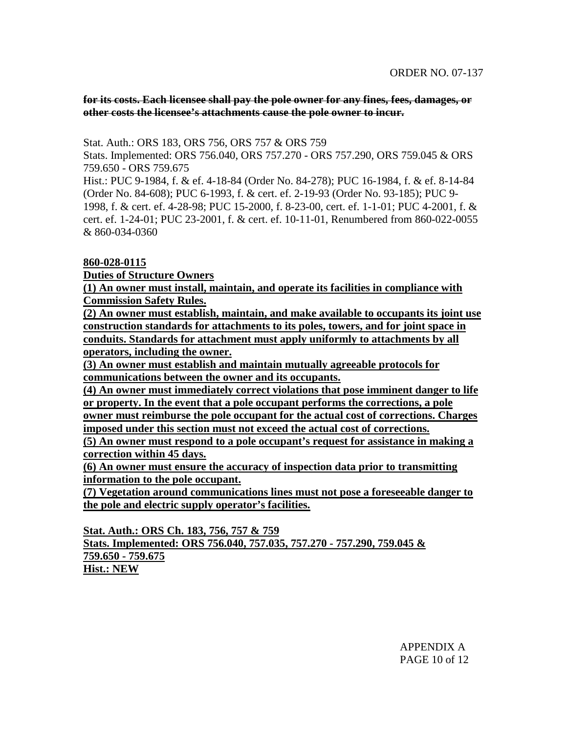**for its costs. Each licensee shall pay the pole owner for any fines, fees, damages, or other costs the licensee's attachments cause the pole owner to incur.**

Stat. Auth.: ORS 183, ORS 756, ORS 757 & ORS 759

Stats. Implemented: ORS 756.040, ORS 757.270 - ORS 757.290, ORS 759.045 & ORS 759.650 - ORS 759.675

Hist.: PUC 9-1984, f. & ef. 4-18-84 (Order No. 84-278); PUC 16-1984, f. & ef. 8-14-84 (Order No. 84-608); PUC 6-1993, f. & cert. ef. 2-19-93 (Order No. 93-185); PUC 9- 1998, f. & cert. ef. 4-28-98; PUC 15-2000, f. 8-23-00, cert. ef. 1-1-01; PUC 4-2001, f. & cert. ef. 1-24-01; PUC 23-2001, f. & cert. ef. 10-11-01, Renumbered from 860-022-0055 & 860-034-0360

## **860-028-0115**

**Duties of Structure Owners**

**(1) An owner must install, maintain, and operate its facilities in compliance with Commission Safety Rules.**

**(2) An owner must establish, maintain, and make available to occupants its joint use construction standards for attachments to its poles, towers, and for joint space in conduits. Standards for attachment must apply uniformly to attachments by all operators, including the owner.**

**(3) An owner must establish and maintain mutually agreeable protocols for communications between the owner and its occupants.**

**(4) An owner must immediately correct violations that pose imminent danger to life or property. In the event that a pole occupant performs the corrections, a pole owner must reimburse the pole occupant for the actual cost of corrections. Charges imposed under this section must not exceed the actual cost of corrections.**

**(5) An owner must respond to a pole occupant's request for assistance in making a correction within 45 days.**

**(6) An owner must ensure the accuracy of inspection data prior to transmitting information to the pole occupant.**

**(7) Vegetation around communications lines must not pose a foreseeable danger to the pole and electric supply operator's facilities.**

**Stat. Auth.: ORS Ch. 183, 756, 757 & 759**

**Stats. Implemented: ORS 756.040, 757.035, 757.270 - 757.290, 759.045 & 759.650 - 759.675**

**Hist.: NEW**

APPENDIX A PAGE 10 of 12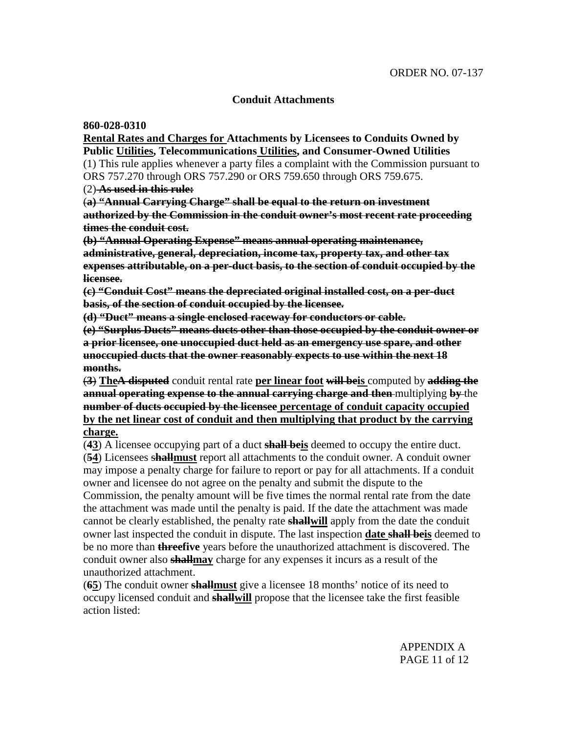## **Conduit Attachments**

**860-028-0310**

**Rental Rates and Charges for Attachments by Licensees to Conduits Owned by Public Utilities, Telecommunications Utilities, and Consumer-Owned Utilities** (1) This rule applies whenever a party files a complaint with the Commission pursuant to ORS 757.270 through ORS 757.290 or ORS 759.650 through ORS 759.675.

(2) **As used in this rule:**

(**a) "Annual Carrying Charge" shall be equal to the return on investment authorized by the Commission in the conduit owner's most recent rate proceeding times the conduit cost.**

**(b) "Annual Operating Expense" means annual operating maintenance, administrative, general, depreciation, income tax, property tax, and other tax expenses attributable, on a per-duct basis, to the section of conduit occupied by the licensee.**

**(c) "Conduit Cost" means the depreciated original installed cost, on a per-duct basis, of the section of conduit occupied by the licensee.**

**(d) "Duct" means a single enclosed raceway for conductors or cable.**

**(e) "Surplus Ducts" means ducts other than those occupied by the conduit owner or a prior licensee, one unoccupied duct held as an emergency use spare, and other unoccupied ducts that the owner reasonably expects to use within the next 18 months.**

(**3**) **TheA disputed** conduit rental rate **per linear foot will beis** computed by **adding the annual operating expense to the annual carrying charge and then** multiplying **by** the **number of ducts occupied by the licensee percentage of conduit capacity occupied by the net linear cost of conduit and then multiplying that product by the carrying charge.**

(**43**) A licensee occupying part of a duct **shall beis** deemed to occupy the entire duct. (**54**) Licensees s**hallmust** report all attachments to the conduit owner. A conduit owner may impose a penalty charge for failure to report or pay for all attachments. If a conduit owner and licensee do not agree on the penalty and submit the dispute to the Commission, the penalty amount will be five times the normal rental rate from the date the attachment was made until the penalty is paid. If the date the attachment was made cannot be clearly established, the penalty rate **shallwill** apply from the date the conduit owner last inspected the conduit in dispute. The last inspection **date shall beis** deemed to be no more than **threefive** years before the unauthorized attachment is discovered. The conduit owner also **shallmay** charge for any expenses it incurs as a result of the unauthorized attachment.

(**65**) The conduit owner **shallmust** give a licensee 18 months' notice of its need to occupy licensed conduit and **shallwill** propose that the licensee take the first feasible action listed:

> APPENDIX A PAGE 11 of 12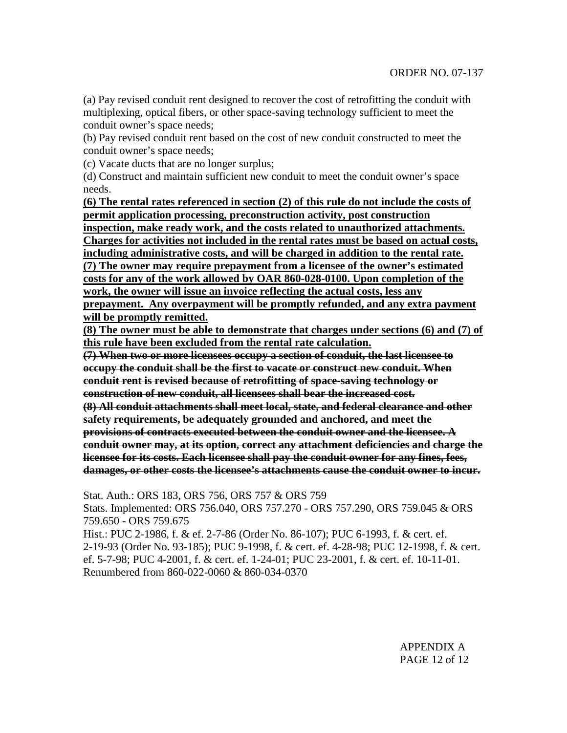(a) Pay revised conduit rent designed to recover the cost of retrofitting the conduit with multiplexing, optical fibers, or other space-saving technology sufficient to meet the conduit owner's space needs;

(b) Pay revised conduit rent based on the cost of new conduit constructed to meet the conduit owner's space needs;

(c) Vacate ducts that are no longer surplus;

(d) Construct and maintain sufficient new conduit to meet the conduit owner's space needs.

**(6) The rental rates referenced in section (2) of this rule do not include the costs of permit application processing, preconstruction activity, post construction inspection, make ready work, and the costs related to unauthorized attachments. Charges for activities not included in the rental rates must be based on actual costs, including administrative costs, and will be charged in addition to the rental rate. (7) The owner may require prepayment from a licensee of the owner's estimated costs for any of the work allowed by OAR 860-028-0100. Upon completion of the work, the owner will issue an invoice reflecting the actual costs, less any prepayment. Any overpayment will be promptly refunded, and any extra payment**

**will be promptly remitted.**

**(8) The owner must be able to demonstrate that charges under sections (6) and (7) of this rule have been excluded from the rental rate calculation.**

**(7) When two or more licensees occupy a section of conduit, the last licensee to occupy the conduit shall be the first to vacate or construct new conduit. When conduit rent is revised because of retrofitting of space-saving technology or construction of new conduit, all licensees shall bear the increased cost. (8) All conduit attachments shall meet local, state, and federal clearance and other safety requirements, be adequately grounded and anchored, and meet the provisions of contracts executed between the conduit owner and the licensee. A conduit owner may, at its option, correct any attachment deficiencies and charge the licensee for its costs. Each licensee shall pay the conduit owner for any fines, fees, damages, or other costs the licensee's attachments cause the conduit owner to incur.**

Stat. Auth.: ORS 183, ORS 756, ORS 757 & ORS 759 Stats. Implemented: ORS 756.040, ORS 757.270 - ORS 757.290, ORS 759.045 & ORS 759.650 - ORS 759.675 Hist.: PUC 2-1986, f. & ef. 2-7-86 (Order No. 86-107); PUC 6-1993, f. & cert. ef. 2-19-93 (Order No. 93-185); PUC 9-1998, f. & cert. ef. 4-28-98; PUC 12-1998, f. & cert. ef. 5-7-98; PUC 4-2001, f. & cert. ef. 1-24-01; PUC 23-2001, f. & cert. ef. 10-11-01.

Renumbered from 860-022-0060 & 860-034-0370

APPENDIX A PAGE 12 of 12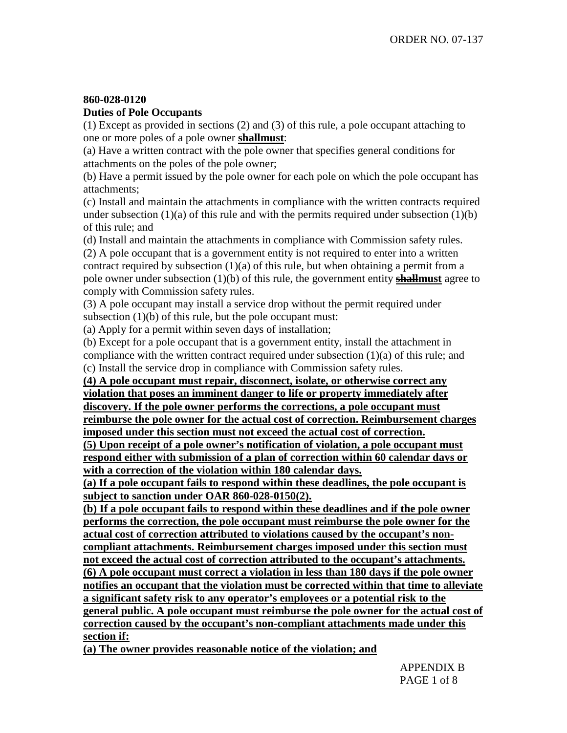# **860-028-0120**

# **Duties of Pole Occupants**

(1) Except as provided in sections (2) and (3) of this rule, a pole occupant attaching to one or more poles of a pole owner **shallmust**:

(a) Have a written contract with the pole owner that specifies general conditions for attachments on the poles of the pole owner;

(b) Have a permit issued by the pole owner for each pole on which the pole occupant has attachments;

(c) Install and maintain the attachments in compliance with the written contracts required under subsection  $(1)(a)$  of this rule and with the permits required under subsection  $(1)(b)$ of this rule; and

(d) Install and maintain the attachments in compliance with Commission safety rules. (2) A pole occupant that is a government entity is not required to enter into a written contract required by subsection (1)(a) of this rule, but when obtaining a permit from a pole owner under subsection (1)(b) of this rule, the government entity **shallmust** agree to comply with Commission safety rules.

(3) A pole occupant may install a service drop without the permit required under subsection (1)(b) of this rule, but the pole occupant must:

(a) Apply for a permit within seven days of installation;

(b) Except for a pole occupant that is a government entity, install the attachment in compliance with the written contract required under subsection  $(1)(a)$  of this rule; and (c) Install the service drop in compliance with Commission safety rules.

**(4) A pole occupant must repair, disconnect, isolate, or otherwise correct any violation that poses an imminent danger to life or property immediately after discovery. If the pole owner performs the corrections, a pole occupant must reimburse the pole owner for the actual cost of correction. Reimbursement charges imposed under this section must not exceed the actual cost of correction.**

**(5) Upon receipt of a pole owner's notification of violation, a pole occupant must respond either with submission of a plan of correction within 60 calendar days or with a correction of the violation within 180 calendar days.**

**(a) If a pole occupant fails to respond within these deadlines, the pole occupant is subject to sanction under OAR 860-028-0150(2).**

**(b) If a pole occupant fails to respond within these deadlines and if the pole owner performs the correction, the pole occupant must reimburse the pole owner for the actual cost of correction attributed to violations caused by the occupant's noncompliant attachments. Reimbursement charges imposed under this section must not exceed the actual cost of correction attributed to the occupant's attachments. (6) A pole occupant must correct a violation in less than 180 days if the pole owner notifies an occupant that the violation must be corrected within that time to alleviate a significant safety risk to any operator's employees or a potential risk to the general public. A pole occupant must reimburse the pole owner for the actual cost of correction caused by the occupant's non-compliant attachments made under this section if:**

**(a) The owner provides reasonable notice of the violation; and**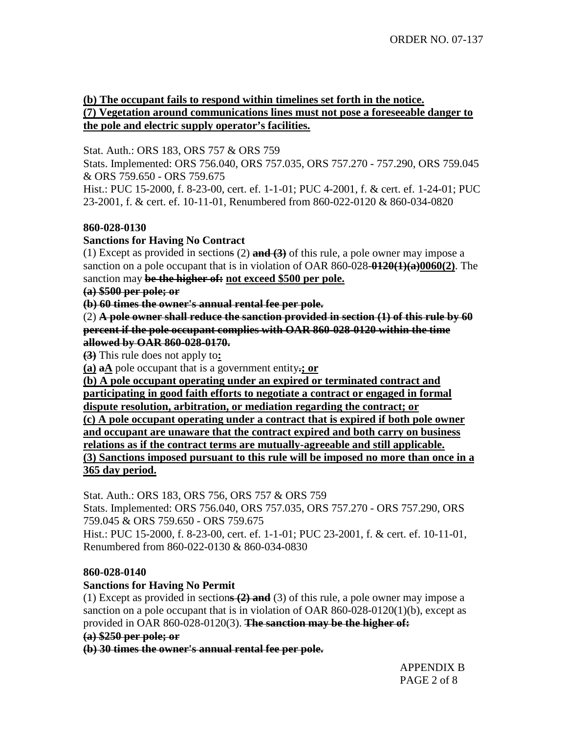# **(b) The occupant fails to respond within timelines set forth in the notice. (7) Vegetation around communications lines must not pose a foreseeable danger to the pole and electric supply operator's facilities.**

Stat. Auth.: ORS 183, ORS 757 & ORS 759

Stats. Implemented: ORS 756.040, ORS 757.035, ORS 757.270 - 757.290, ORS 759.045 & ORS 759.650 - ORS 759.675

Hist.: PUC 15-2000, f. 8-23-00, cert. ef. 1-1-01; PUC 4-2001, f. & cert. ef. 1-24-01; PUC 23-2001, f. & cert. ef. 10-11-01, Renumbered from 860-022-0120 & 860-034-0820

# **860-028-0130**

# **Sanctions for Having No Contract**

(1) Except as provided in sections (2) **and (3)** of this rule, a pole owner may impose a sanction on a pole occupant that is in violation of OAR 860-028-**0120(1)(a)0060(2)**. The sanction may **be the higher of: not exceed \$500 per pole.**

# **(a) \$500 per pole; or**

**(b) 60 times the owner's annual rental fee per pole.**

(2) **A pole owner shall reduce the sanction provided in section (1) of this rule by 60 percent if the pole occupant complies with OAR 860-028-0120 within the time allowed by OAR 860-028-0170.**

**(3)** This rule does not apply to**:**

**(a) aA** pole occupant that is a government entity**.; or**

**(b) A pole occupant operating under an expired or terminated contract and participating in good faith efforts to negotiate a contract or engaged in formal dispute resolution, arbitration, or mediation regarding the contract; or (c) A pole occupant operating under a contract that is expired if both pole owner and occupant are unaware that the contract expired and both carry on business relations as if the contract terms are mutually-agreeable and still applicable. (3) Sanctions imposed pursuant to this rule will be imposed no more than once in a 365 day period.**

Stat. Auth.: ORS 183, ORS 756, ORS 757 & ORS 759

Stats. Implemented: ORS 756.040, ORS 757.035, ORS 757.270 - ORS 757.290, ORS 759.045 & ORS 759.650 - ORS 759.675

Hist.: PUC 15-2000, f. 8-23-00, cert. ef. 1-1-01; PUC 23-2001, f. & cert. ef. 10-11-01, Renumbered from 860-022-0130 & 860-034-0830

# **860-028-0140**

# **Sanctions for Having No Permit**

(1) Except as provided in section**s (2) and** (3) of this rule, a pole owner may impose a sanction on a pole occupant that is in violation of OAR 860-028-0120(1)(b), except as provided in OAR 860-028-0120(3). **The sanction may be the higher of:**

**(a) \$250 per pole; or**

**(b) 30 times the owner's annual rental fee per pole.**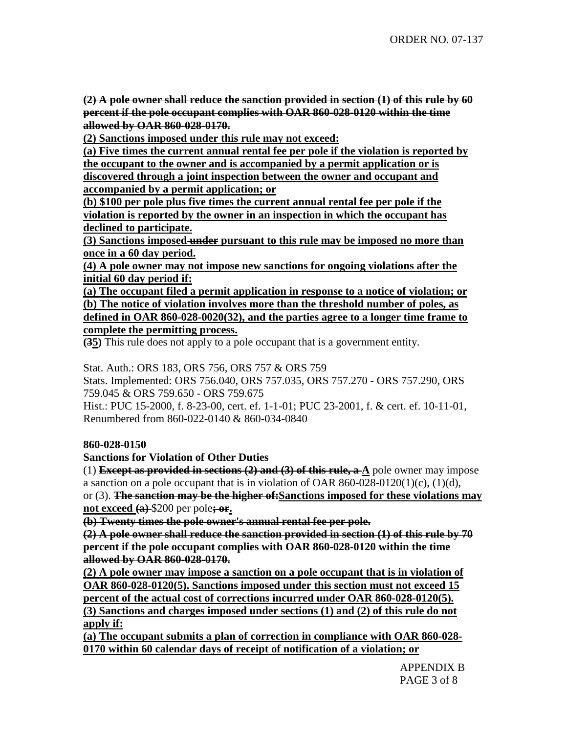**(2) A pole owner shall reduce the sanction provided in section (1) of this rule by 60 percent if the pole occupant complies with OAR 860-028-0120 within the time allowed by OAR 860-028-0170.**

**(2) Sanctions imposed under this rule may not exceed:**

**(a) Five times the current annual rental fee per pole if the violation is reported by the occupant to the owner and is accompanied by a permit application or is discovered through a joint inspection between the owner and occupant and accompanied by a permit application; or**

**(b) \$100 per pole plus five times the current annual rental fee per pole if the violation is reported by the owner in an inspection in which the occupant has declined to participate.**

**(3) Sanctions imposed under pursuant to this rule may be imposed no more than once in a 60 day period.**

**(4) A pole owner may not impose new sanctions for ongoing violations after the initial 60 day period if:**

**(a) The occupant filed a permit application in response to a notice of violation; or (b) The notice of violation involves more than the threshold number of poles, as defined in OAR 860-028-0020(32), and the parties agree to a longer time frame to complete the permitting process.**

**(35)** This rule does not apply to a pole occupant that is a government entity.

Stat. Auth.: ORS 183, ORS 756, ORS 757 & ORS 759

Stats. Implemented: ORS 756.040, ORS 757.035, ORS 757.270 - ORS 757.290, ORS 759.045 & ORS 759.650 - ORS 759.675

Hist.: PUC 15-2000, f. 8-23-00, cert. ef. 1-1-01; PUC 23-2001, f. & cert. ef. 10-11-01, Renumbered from 860-022-0140 & 860-034-0840

## **860-028-0150**

**Sanctions for Violation of Other Duties**

(1) **Except as provided in sections (2) and (3) of this rule, a A** pole owner may impose a sanction on a pole occupant that is in violation of OAR  $860-028-0120(1)(c)$ ,  $(1)(d)$ , or (3). **The sanction may be the higher of:Sanctions imposed for these violations may not exceed (a)** \$200 per pole**; or.**

**(b) Twenty times the pole owner's annual rental fee per pole.**

**(2) A pole owner shall reduce the sanction provided in section (1) of this rule by 70 percent if the pole occupant complies with OAR 860-028-0120 within the time allowed by OAR 860-028-0170.**

**(2) A pole owner may impose a sanction on a pole occupant that is in violation of OAR 860-028-0120(5). Sanctions imposed under this section must not exceed 15 percent of the actual cost of corrections incurred under OAR 860-028-0120(5).**

**(3) Sanctions and charges imposed under sections (1) and (2) of this rule do not apply if:**

**(a) The occupant submits a plan of correction in compliance with OAR 860-028- 0170 within 60 calendar days of receipt of notification of a violation; or**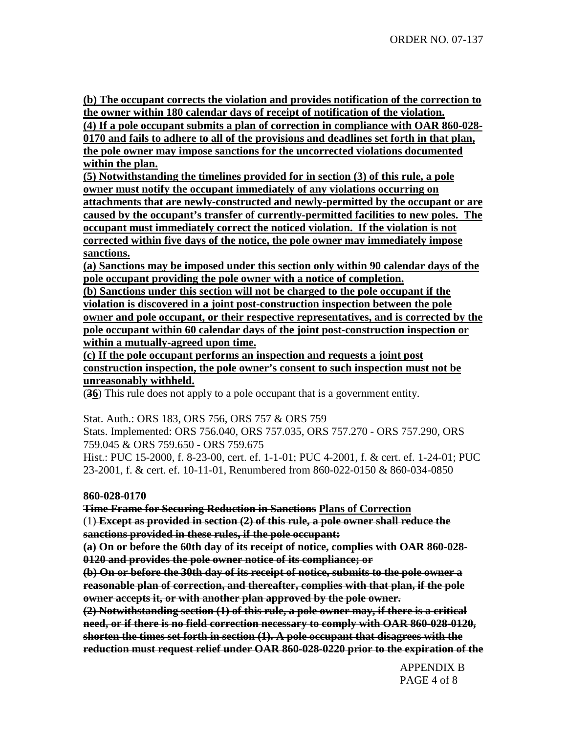**(b) The occupant corrects the violation and provides notification of the correction to the owner within 180 calendar days of receipt of notification of the violation.**

**(4) If a pole occupant submits a plan of correction in compliance with OAR 860-028- 0170 and fails to adhere to all of the provisions and deadlines set forth in that plan, the pole owner may impose sanctions for the uncorrected violations documented within the plan.**

**(5) Notwithstanding the timelines provided for in section (3) of this rule, a pole owner must notify the occupant immediately of any violations occurring on attachments that are newly-constructed and newly-permitted by the occupant or are caused by the occupant's transfer of currently-permitted facilities to new poles. The occupant must immediately correct the noticed violation. If the violation is not corrected within five days of the notice, the pole owner may immediately impose sanctions.**

**(a) Sanctions may be imposed under this section only within 90 calendar days of the pole occupant providing the pole owner with a notice of completion.**

**(b) Sanctions under this section will not be charged to the pole occupant if the violation is discovered in a joint post-construction inspection between the pole owner and pole occupant, or their respective representatives, and is corrected by the pole occupant within 60 calendar days of the joint post-construction inspection or within a mutually-agreed upon time.**

**(c) If the pole occupant performs an inspection and requests a joint post construction inspection, the pole owner's consent to such inspection must not be unreasonably withheld.**

(**36**) This rule does not apply to a pole occupant that is a government entity.

Stat. Auth.: ORS 183, ORS 756, ORS 757 & ORS 759

Stats. Implemented: ORS 756.040, ORS 757.035, ORS 757.270 - ORS 757.290, ORS 759.045 & ORS 759.650 - ORS 759.675

Hist.: PUC 15-2000, f. 8-23-00, cert. ef. 1-1-01; PUC 4-2001, f. & cert. ef. 1-24-01; PUC 23-2001, f. & cert. ef. 10-11-01, Renumbered from 860-022-0150 & 860-034-0850

## **860-028-0170**

**Time Frame for Securing Reduction in Sanctions Plans of Correction**

(1) **Except as provided in section (2) of this rule, a pole owner shall reduce the sanctions provided in these rules, if the pole occupant:**

**(a) On or before the 60th day of its receipt of notice, complies with OAR 860-028- 0120 and provides the pole owner notice of its compliance; or**

**(b) On or before the 30th day of its receipt of notice, submits to the pole owner a reasonable plan of correction, and thereafter, complies with that plan, if the pole owner accepts it, or with another plan approved by the pole owner.**

**(2) Notwithstanding section (1) of this rule, a pole owner may, if there is a critical need, or if there is no field correction necessary to comply with OAR 860-028-0120, shorten the times set forth in section (1). A pole occupant that disagrees with the reduction must request relief under OAR 860-028-0220 prior to the expiration of the**

> APPENDIX B PAGE 4 of 8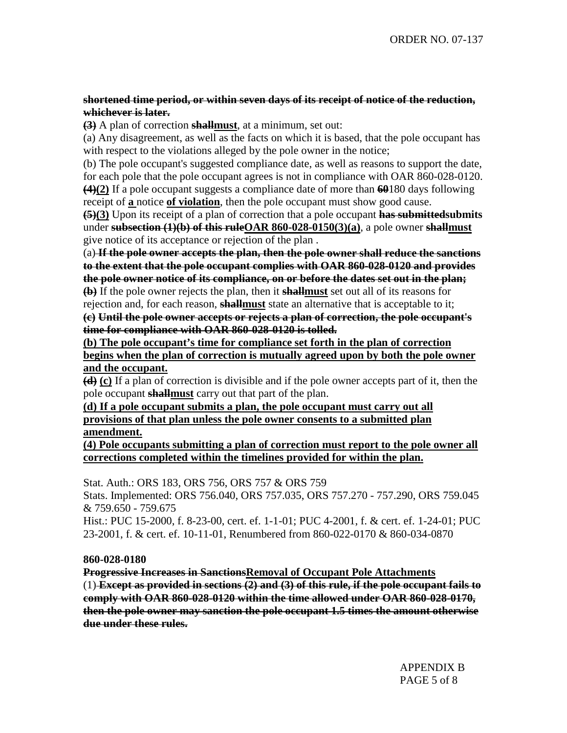## **shortened time period, or within seven days of its receipt of notice of the reduction, whichever is later.**

**(3)** A plan of correction **shallmust**, at a minimum, set out:

(a) Any disagreement, as well as the facts on which it is based, that the pole occupant has with respect to the violations alleged by the pole owner in the notice;

(b) The pole occupant's suggested compliance date, as well as reasons to support the date, for each pole that the pole occupant agrees is not in compliance with OAR 860-028-0120. **(4)(2)** If a pole occupant suggests a compliance date of more than **60**180 days following receipt of **a** notice **of violation**, then the pole occupant must show good cause.

**(5)(3)** Upon its receipt of a plan of correction that a pole occupant **has submittedsubmits** under **subsection (1)(b) of this ruleOAR 860-028-0150(3)(a)**, a pole owner **shallmust** give notice of its acceptance or rejection of the plan .

(a) **If the pole owner accepts the plan, then the pole owner shall reduce the sanctions to the extent that the pole occupant complies with OAR 860-028-0120 and provides the pole owner notice of its compliance, on or before the dates set out in the plan; (b)** If the pole owner rejects the plan, then it **shallmust** set out all of its reasons for

rejection and, for each reason, **shallmust** state an alternative that is acceptable to it; **(c) Until the pole owner accepts or rejects a plan of correction, the pole occupant's time for compliance with OAR 860-028-0120 is tolled.**

**(b) The pole occupant's time for compliance set forth in the plan of correction begins when the plan of correction is mutually agreed upon by both the pole owner and the occupant.**

**(d) (c)** If a plan of correction is divisible and if the pole owner accepts part of it, then the pole occupant **shallmust** carry out that part of the plan.

**(d) If a pole occupant submits a plan, the pole occupant must carry out all provisions of that plan unless the pole owner consents to a submitted plan amendment.**

**(4) Pole occupants submitting a plan of correction must report to the pole owner all corrections completed within the timelines provided for within the plan.**

Stat. Auth.: ORS 183, ORS 756, ORS 757 & ORS 759 Stats. Implemented: ORS 756.040, ORS 757.035, ORS 757.270 - 757.290, ORS 759.045 & 759.650 - 759.675

Hist.: PUC 15-2000, f. 8-23-00, cert. ef. 1-1-01; PUC 4-2001, f. & cert. ef. 1-24-01; PUC 23-2001, f. & cert. ef. 10-11-01, Renumbered from 860-022-0170 & 860-034-0870

## **860-028-0180**

**Progressive Increases in SanctionsRemoval of Occupant Pole Attachments** (1) **Except as provided in sections (2) and (3) of this rule, if the pole occupant fails to comply with OAR 860-028-0120 within the time allowed under OAR 860-028-0170, then the pole owner may sanction the pole occupant 1.5 times the amount otherwise due under these rules.**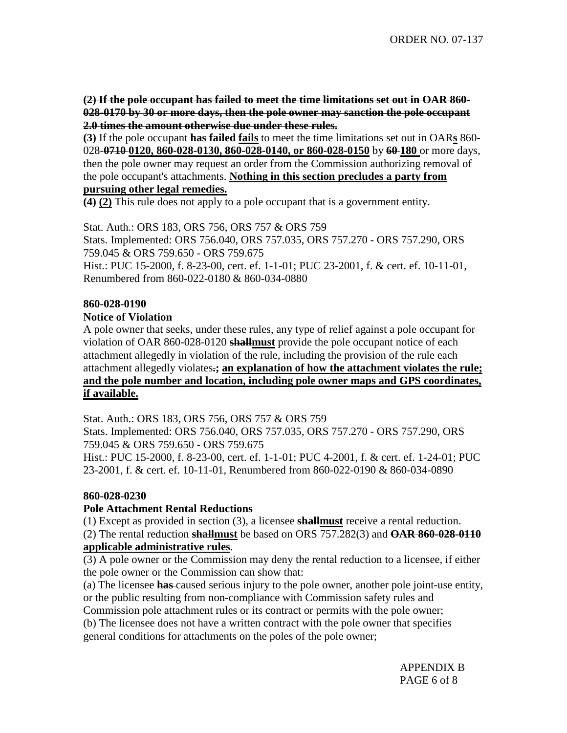**(2) If the pole occupant has failed to meet the time limitations set out in OAR 860- 028-0170 by 30 or more days, then the pole owner may sanction the pole occupant 2.0 times the amount otherwise due under these rules.**

**(3)** If the pole occupant **has failed fails** to meet the time limitations set out in OAR**s** 860- 028-**0710 0120, 860-028-0130, 860-028-0140, or 860-028-0150** by **60 180** or more days, then the pole owner may request an order from the Commission authorizing removal of the pole occupant's attachments. **Nothing in this section precludes a party from**

# **pursuing other legal remedies.**

**(4) (2)** This rule does not apply to a pole occupant that is a government entity.

Stat. Auth.: ORS 183, ORS 756, ORS 757 & ORS 759 Stats. Implemented: ORS 756.040, ORS 757.035, ORS 757.270 - ORS 757.290, ORS 759.045 & ORS 759.650 - ORS 759.675 Hist.: PUC 15-2000, f. 8-23-00, cert. ef. 1-1-01; PUC 23-2001, f. & cert. ef. 10-11-01, Renumbered from 860-022-0180 & 860-034-0880

## **860-028-0190**

## **Notice of Violation**

A pole owner that seeks, under these rules, any type of relief against a pole occupant for violation of OAR 860-028-0120 **shallmust** provide the pole occupant notice of each attachment allegedly in violation of the rule, including the provision of the rule each attachment allegedly violates**.; an explanation of how the attachment violates the rule; and the pole number and location, including pole owner maps and GPS coordinates, if available.**

Stat. Auth.: ORS 183, ORS 756, ORS 757 & ORS 759

Stats. Implemented: ORS 756.040, ORS 757.035, ORS 757.270 - ORS 757.290, ORS 759.045 & ORS 759.650 - ORS 759.675

Hist.: PUC 15-2000, f. 8-23-00, cert. ef. 1-1-01; PUC 4-2001, f. & cert. ef. 1-24-01; PUC 23-2001, f. & cert. ef. 10-11-01, Renumbered from 860-022-0190 & 860-034-0890

## **860-028-0230**

## **Pole Attachment Rental Reductions**

(1) Except as provided in section (3), a licensee **shallmust** receive a rental reduction.

(2) The rental reduction **shallmust** be based on ORS 757.282(3) and **OAR 860-028-0110 applicable administrative rules**.

(3) A pole owner or the Commission may deny the rental reduction to a licensee, if either the pole owner or the Commission can show that:

(a) The licensee **has** caused serious injury to the pole owner, another pole joint-use entity, or the public resulting from non-compliance with Commission safety rules and

Commission pole attachment rules or its contract or permits with the pole owner;

(b) The licensee does not have a written contract with the pole owner that specifies general conditions for attachments on the poles of the pole owner;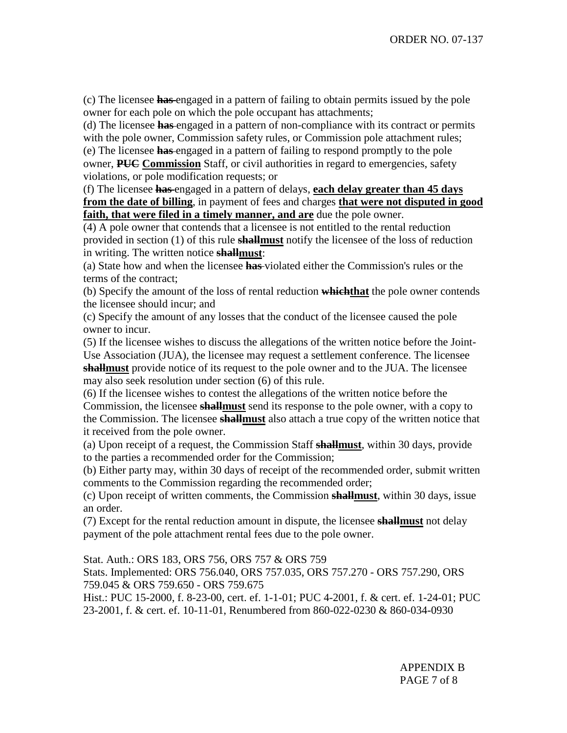(c) The licensee **has** engaged in a pattern of failing to obtain permits issued by the pole owner for each pole on which the pole occupant has attachments;

(d) The licensee **has** engaged in a pattern of non-compliance with its contract or permits with the pole owner, Commission safety rules, or Commission pole attachment rules; (e) The licensee **has** engaged in a pattern of failing to respond promptly to the pole owner, **PUC Commission** Staff, or civil authorities in regard to emergencies, safety

violations, or pole modification requests; or

(f) The licensee **has** engaged in a pattern of delays, **each delay greater than 45 days from the date of billing**, in payment of fees and charges **that were not disputed in good faith, that were filed in a timely manner, and are** due the pole owner.

(4) A pole owner that contends that a licensee is not entitled to the rental reduction provided in section (1) of this rule **shallmust** notify the licensee of the loss of reduction in writing. The written notice **shallmust**:

(a) State how and when the licensee **has** violated either the Commission's rules or the terms of the contract;

(b) Specify the amount of the loss of rental reduction **whichthat** the pole owner contends the licensee should incur; and

(c) Specify the amount of any losses that the conduct of the licensee caused the pole owner to incur.

(5) If the licensee wishes to discuss the allegations of the written notice before the Joint-Use Association (JUA), the licensee may request a settlement conference. The licensee **shallmust** provide notice of its request to the pole owner and to the JUA. The licensee may also seek resolution under section (6) of this rule.

(6) If the licensee wishes to contest the allegations of the written notice before the Commission, the licensee **shallmust** send its response to the pole owner, with a copy to the Commission. The licensee **shallmust** also attach a true copy of the written notice that it received from the pole owner.

(a) Upon receipt of a request, the Commission Staff **shallmust**, within 30 days, provide to the parties a recommended order for the Commission;

(b) Either party may, within 30 days of receipt of the recommended order, submit written comments to the Commission regarding the recommended order;

(c) Upon receipt of written comments, the Commission **shallmust**, within 30 days, issue an order.

(7) Except for the rental reduction amount in dispute, the licensee **shallmust** not delay payment of the pole attachment rental fees due to the pole owner.

Stat. Auth.: ORS 183, ORS 756, ORS 757 & ORS 759

Stats. Implemented: ORS 756.040, ORS 757.035, ORS 757.270 - ORS 757.290, ORS 759.045 & ORS 759.650 - ORS 759.675

Hist.: PUC 15-2000, f. 8-23-00, cert. ef. 1-1-01; PUC 4-2001, f. & cert. ef. 1-24-01; PUC 23-2001, f. & cert. ef. 10-11-01, Renumbered from 860-022-0230 & 860-034-0930